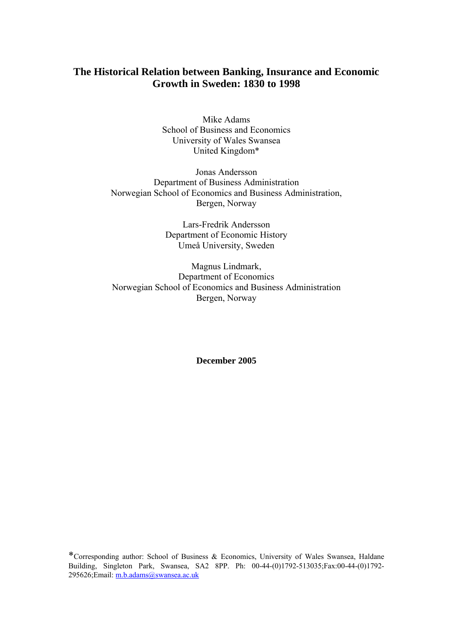Mike Adams School of Business and Economics University of Wales Swansea United Kingdom\*

Jonas Andersson Department of Business Administration Norwegian School of Economics and Business Administration, Bergen, Norway

> Lars-Fredrik Andersson Department of Economic History Umeå University, Sweden

Magnus Lindmark, Department of Economics Norwegian School of Economics and Business Administration Bergen, Norway

**December 2005** 

\*Corresponding author: School of Business & Economics, University of Wales Swansea, Haldane Building, Singleton Park, Swansea, SA2 8PP. Ph: 00-44-(0)1792-513035;Fax:00-44-(0)1792- 295626;Email: m.b.adams@swansea.ac.uk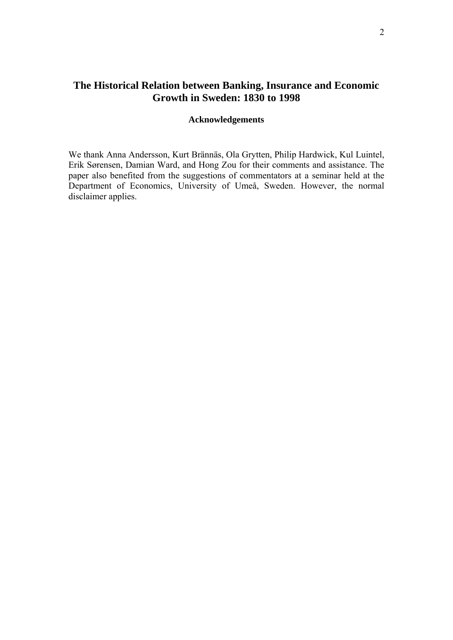## **Acknowledgements**

We thank Anna Andersson, Kurt Brännäs, Ola Grytten, Philip Hardwick, Kul Luintel, Erik Sørensen, Damian Ward, and Hong Zou for their comments and assistance. The paper also benefited from the suggestions of commentators at a seminar held at the Department of Economics, University of Umeå, Sweden. However, the normal disclaimer applies.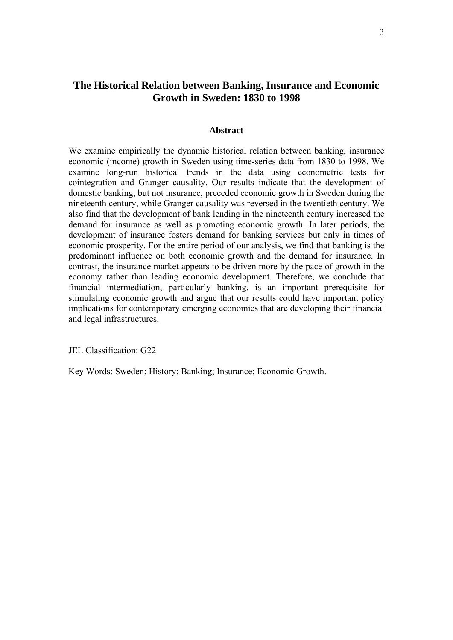#### **Abstract**

We examine empirically the dynamic historical relation between banking, insurance economic (income) growth in Sweden using time-series data from 1830 to 1998. We examine long-run historical trends in the data using econometric tests for cointegration and Granger causality. Our results indicate that the development of domestic banking, but not insurance, preceded economic growth in Sweden during the nineteenth century, while Granger causality was reversed in the twentieth century. We also find that the development of bank lending in the nineteenth century increased the demand for insurance as well as promoting economic growth. In later periods, the development of insurance fosters demand for banking services but only in times of economic prosperity. For the entire period of our analysis, we find that banking is the predominant influence on both economic growth and the demand for insurance. In contrast, the insurance market appears to be driven more by the pace of growth in the economy rather than leading economic development. Therefore, we conclude that financial intermediation, particularly banking, is an important prerequisite for stimulating economic growth and argue that our results could have important policy implications for contemporary emerging economies that are developing their financial and legal infrastructures.

JEL Classification: G22

Key Words: Sweden; History; Banking; Insurance; Economic Growth.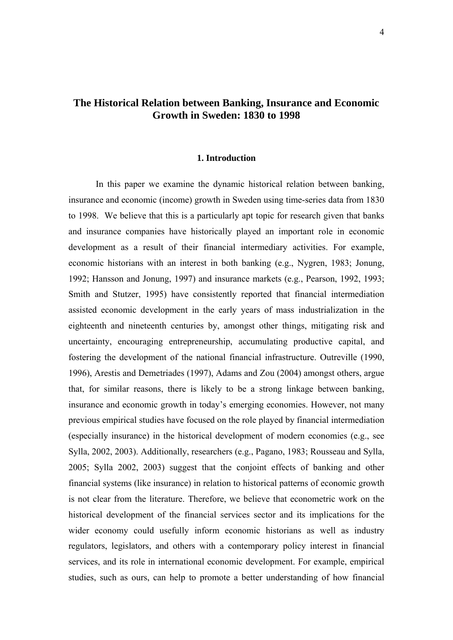#### **1. Introduction**

In this paper we examine the dynamic historical relation between banking, insurance and economic (income) growth in Sweden using time-series data from 1830 to 1998. We believe that this is a particularly apt topic for research given that banks and insurance companies have historically played an important role in economic development as a result of their financial intermediary activities. For example, economic historians with an interest in both banking (e.g., Nygren, 1983; Jonung, 1992; Hansson and Jonung, 1997) and insurance markets (e.g., Pearson, 1992, 1993; Smith and Stutzer, 1995) have consistently reported that financial intermediation assisted economic development in the early years of mass industrialization in the eighteenth and nineteenth centuries by, amongst other things, mitigating risk and uncertainty, encouraging entrepreneurship, accumulating productive capital, and fostering the development of the national financial infrastructure. Outreville (1990, 1996), Arestis and Demetriades (1997), Adams and Zou (2004) amongst others, argue that, for similar reasons, there is likely to be a strong linkage between banking, insurance and economic growth in today's emerging economies. However, not many previous empirical studies have focused on the role played by financial intermediation (especially insurance) in the historical development of modern economies (e.g., see Sylla, 2002, 2003). Additionally, researchers (e.g., Pagano, 1983; Rousseau and Sylla, 2005; Sylla 2002, 2003) suggest that the conjoint effects of banking and other financial systems (like insurance) in relation to historical patterns of economic growth is not clear from the literature. Therefore, we believe that econometric work on the historical development of the financial services sector and its implications for the wider economy could usefully inform economic historians as well as industry regulators, legislators, and others with a contemporary policy interest in financial services, and its role in international economic development. For example, empirical studies, such as ours, can help to promote a better understanding of how financial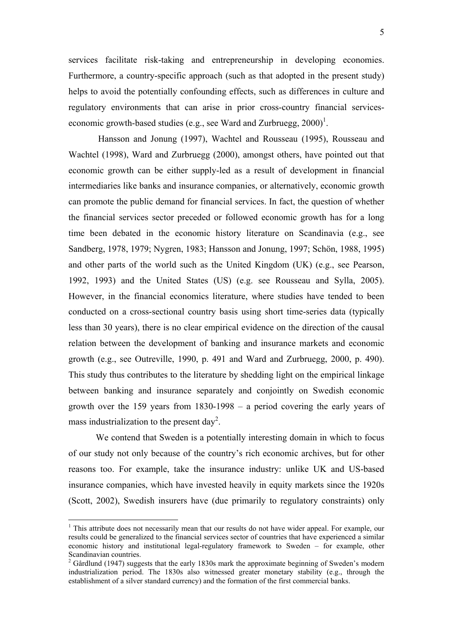services facilitate risk-taking and entrepreneurship in developing economies. Furthermore, a country-specific approach (such as that adopted in the present study) helps to avoid the potentially confounding effects, such as differences in culture and regulatory environments that can arise in prior cross-country financial serviceseconomic growth-based studies (e.g., see Ward and Zurbruegg,  $2000$ )<sup>1</sup>.

 Hansson and Jonung (1997), Wachtel and Rousseau (1995), Rousseau and Wachtel (1998), Ward and Zurbruegg (2000), amongst others, have pointed out that economic growth can be either supply-led as a result of development in financial intermediaries like banks and insurance companies, or alternatively, economic growth can promote the public demand for financial services. In fact, the question of whether the financial services sector preceded or followed economic growth has for a long time been debated in the economic history literature on Scandinavia (e.g., see Sandberg, 1978, 1979; Nygren, 1983; Hansson and Jonung, 1997; Schön, 1988, 1995) and other parts of the world such as the United Kingdom (UK) (e.g., see Pearson, 1992, 1993) and the United States (US) (e.g. see Rousseau and Sylla, 2005). However, in the financial economics literature, where studies have tended to been conducted on a cross-sectional country basis using short time-series data (typically less than 30 years), there is no clear empirical evidence on the direction of the causal relation between the development of banking and insurance markets and economic growth (e.g., see Outreville, 1990, p. 491 and Ward and Zurbruegg, 2000, p. 490). This study thus contributes to the literature by shedding light on the empirical linkage between banking and insurance separately and conjointly on Swedish economic growth over the 159 years from 1830-1998 – a period covering the early years of mass industrialization to the present day<sup>2</sup>.

We contend that Sweden is a potentially interesting domain in which to focus of our study not only because of the country's rich economic archives, but for other reasons too. For example, take the insurance industry: unlike UK and US-based insurance companies, which have invested heavily in equity markets since the 1920s (Scott, 2002), Swedish insurers have (due primarily to regulatory constraints) only

1

<sup>&</sup>lt;sup>1</sup> This attribute does not necessarily mean that our results do not have wider appeal. For example, our results could be generalized to the financial services sector of countries that have experienced a similar economic history and institutional legal-regulatory framework to Sweden – for example, other Scandinavian countries.

 $2^{2}$  Gårdlund (1947) suggests that the early 1830s mark the approximate beginning of Sweden's modern industrialization period. The 1830s also witnessed greater monetary stability (e.g., through the establishment of a silver standard currency) and the formation of the first commercial banks.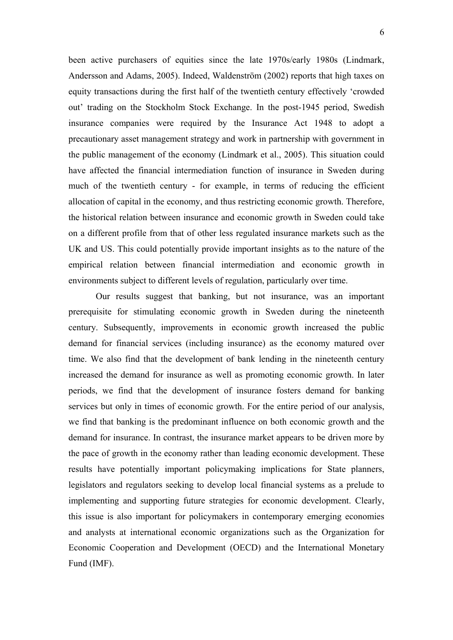been active purchasers of equities since the late 1970s/early 1980s (Lindmark, Andersson and Adams, 2005). Indeed, Waldenström (2002) reports that high taxes on equity transactions during the first half of the twentieth century effectively 'crowded out' trading on the Stockholm Stock Exchange. In the post-1945 period, Swedish insurance companies were required by the Insurance Act 1948 to adopt a precautionary asset management strategy and work in partnership with government in the public management of the economy (Lindmark et al., 2005). This situation could have affected the financial intermediation function of insurance in Sweden during much of the twentieth century - for example, in terms of reducing the efficient allocation of capital in the economy, and thus restricting economic growth. Therefore, the historical relation between insurance and economic growth in Sweden could take on a different profile from that of other less regulated insurance markets such as the UK and US. This could potentially provide important insights as to the nature of the empirical relation between financial intermediation and economic growth in environments subject to different levels of regulation, particularly over time.

Our results suggest that banking, but not insurance, was an important prerequisite for stimulating economic growth in Sweden during the nineteenth century. Subsequently, improvements in economic growth increased the public demand for financial services (including insurance) as the economy matured over time. We also find that the development of bank lending in the nineteenth century increased the demand for insurance as well as promoting economic growth. In later periods, we find that the development of insurance fosters demand for banking services but only in times of economic growth. For the entire period of our analysis, we find that banking is the predominant influence on both economic growth and the demand for insurance. In contrast, the insurance market appears to be driven more by the pace of growth in the economy rather than leading economic development. These results have potentially important policymaking implications for State planners, legislators and regulators seeking to develop local financial systems as a prelude to implementing and supporting future strategies for economic development. Clearly, this issue is also important for policymakers in contemporary emerging economies and analysts at international economic organizations such as the Organization for Economic Cooperation and Development (OECD) and the International Monetary Fund (IMF).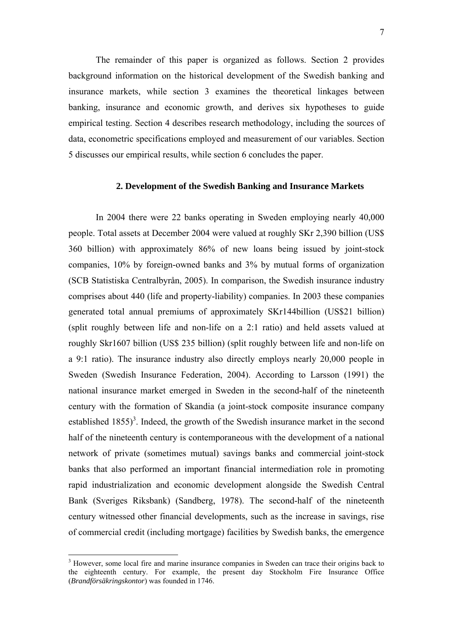The remainder of this paper is organized as follows. Section 2 provides background information on the historical development of the Swedish banking and insurance markets, while section 3 examines the theoretical linkages between banking, insurance and economic growth, and derives six hypotheses to guide empirical testing. Section 4 describes research methodology, including the sources of data, econometric specifications employed and measurement of our variables. Section 5 discusses our empirical results, while section 6 concludes the paper.

#### **2. Development of the Swedish Banking and Insurance Markets**

In 2004 there were 22 banks operating in Sweden employing nearly 40,000 people. Total assets at December 2004 were valued at roughly SKr 2,390 billion (US\$ 360 billion) with approximately 86% of new loans being issued by joint-stock companies, 10% by foreign-owned banks and 3% by mutual forms of organization (SCB Statistiska Centralbyrån, 2005). In comparison, the Swedish insurance industry comprises about 440 (life and property-liability) companies. In 2003 these companies generated total annual premiums of approximately SKr144billion (US\$21 billion) (split roughly between life and non-life on a 2:1 ratio) and held assets valued at roughly Skr1607 billion (US\$ 235 billion) (split roughly between life and non-life on a 9:1 ratio). The insurance industry also directly employs nearly 20,000 people in Sweden (Swedish Insurance Federation, 2004). According to Larsson (1991) the national insurance market emerged in Sweden in the second-half of the nineteenth century with the formation of Skandia (a joint-stock composite insurance company established  $1855$ <sup>3</sup>. Indeed, the growth of the Swedish insurance market in the second half of the nineteenth century is contemporaneous with the development of a national network of private (sometimes mutual) savings banks and commercial joint-stock banks that also performed an important financial intermediation role in promoting rapid industrialization and economic development alongside the Swedish Central Bank (Sveriges Riksbank) (Sandberg, 1978). The second-half of the nineteenth century witnessed other financial developments, such as the increase in savings, rise of commercial credit (including mortgage) facilities by Swedish banks, the emergence

1

<sup>&</sup>lt;sup>3</sup> However, some local fire and marine insurance companies in Sweden can trace their origins back to the eighteenth century. For example, the present day Stockholm Fire Insurance Office (*Brandförsäkringskontor*) was founded in 1746.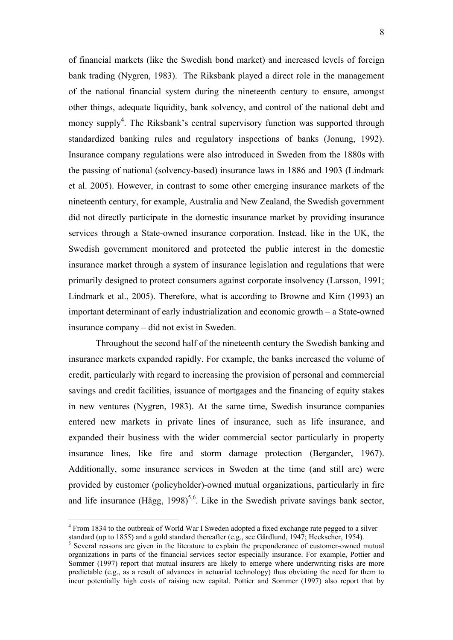of financial markets (like the Swedish bond market) and increased levels of foreign bank trading (Nygren, 1983). The Riksbank played a direct role in the management of the national financial system during the nineteenth century to ensure, amongst other things, adequate liquidity, bank solvency, and control of the national debt and money supply<sup>4</sup>. The Riksbank's central supervisory function was supported through standardized banking rules and regulatory inspections of banks (Jonung, 1992). Insurance company regulations were also introduced in Sweden from the 1880s with the passing of national (solvency-based) insurance laws in 1886 and 1903 (Lindmark et al. 2005). However, in contrast to some other emerging insurance markets of the nineteenth century, for example, Australia and New Zealand, the Swedish government did not directly participate in the domestic insurance market by providing insurance services through a State-owned insurance corporation. Instead, like in the UK, the Swedish government monitored and protected the public interest in the domestic insurance market through a system of insurance legislation and regulations that were primarily designed to protect consumers against corporate insolvency (Larsson, 1991; Lindmark et al., 2005). Therefore, what is according to Browne and Kim (1993) an important determinant of early industrialization and economic growth – a State-owned insurance company – did not exist in Sweden.

Throughout the second half of the nineteenth century the Swedish banking and insurance markets expanded rapidly. For example, the banks increased the volume of credit, particularly with regard to increasing the provision of personal and commercial savings and credit facilities, issuance of mortgages and the financing of equity stakes in new ventures (Nygren, 1983). At the same time, Swedish insurance companies entered new markets in private lines of insurance, such as life insurance, and expanded their business with the wider commercial sector particularly in property insurance lines, like fire and storm damage protection (Bergander, 1967). Additionally, some insurance services in Sweden at the time (and still are) were provided by customer (policyholder)-owned mutual organizations, particularly in fire and life insurance (Hägg,  $1998$ )<sup>5,6</sup>. Like in the Swedish private savings bank sector,

1

<sup>&</sup>lt;sup>4</sup> From 1834 to the outbreak of World War I Sweden adopted a fixed exchange rate pegged to a silver standard (up to 1855) and a gold standard thereafter (e.g., see Gårdlund, 1947; Heckscher, 1954).

<sup>&</sup>lt;sup>5</sup> Several reasons are given in the literature to explain the preponderance of customer-owned mutual organizations in parts of the financial services sector especially insurance. For example, Pottier and Sommer (1997) report that mutual insurers are likely to emerge where underwriting risks are more predictable (e.g., as a result of advances in actuarial technology) thus obviating the need for them to incur potentially high costs of raising new capital. Pottier and Sommer (1997) also report that by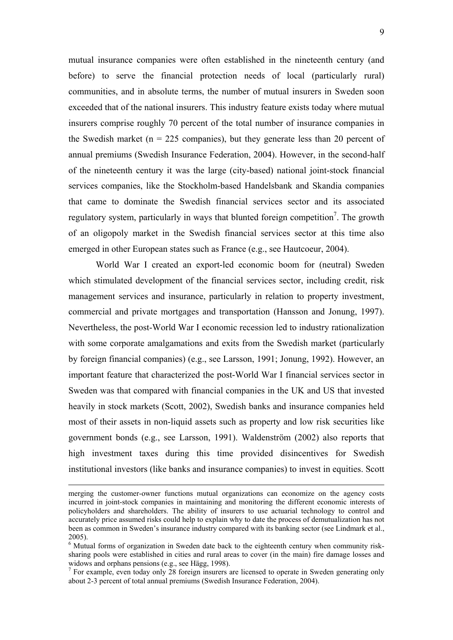mutual insurance companies were often established in the nineteenth century (and before) to serve the financial protection needs of local (particularly rural) communities, and in absolute terms, the number of mutual insurers in Sweden soon exceeded that of the national insurers. This industry feature exists today where mutual insurers comprise roughly 70 percent of the total number of insurance companies in the Swedish market ( $n = 225$  companies), but they generate less than 20 percent of annual premiums (Swedish Insurance Federation, 2004). However, in the second-half of the nineteenth century it was the large (city-based) national joint-stock financial services companies, like the Stockholm-based Handelsbank and Skandia companies that came to dominate the Swedish financial services sector and its associated regulatory system, particularly in ways that blunted foreign competition<sup>7</sup>. The growth of an oligopoly market in the Swedish financial services sector at this time also emerged in other European states such as France (e.g., see Hautcoeur, 2004).

World War I created an export-led economic boom for (neutral) Sweden which stimulated development of the financial services sector, including credit, risk management services and insurance, particularly in relation to property investment, commercial and private mortgages and transportation (Hansson and Jonung, 1997). Nevertheless, the post-World War I economic recession led to industry rationalization with some corporate amalgamations and exits from the Swedish market (particularly by foreign financial companies) (e.g., see Larsson, 1991; Jonung, 1992). However, an important feature that characterized the post-World War I financial services sector in Sweden was that compared with financial companies in the UK and US that invested heavily in stock markets (Scott, 2002), Swedish banks and insurance companies held most of their assets in non-liquid assets such as property and low risk securities like government bonds (e.g., see Larsson, 1991). Waldenström (2002) also reports that high investment taxes during this time provided disincentives for Swedish institutional investors (like banks and insurance companies) to invest in equities. Scott

merging the customer-owner functions mutual organizations can economize on the agency costs incurred in joint-stock companies in maintaining and monitoring the different economic interests of policyholders and shareholders. The ability of insurers to use actuarial technology to control and accurately price assumed risks could help to explain why to date the process of demutualization has not been as common in Sweden's insurance industry compared with its banking sector (see Lindmark et al., 2005).

<sup>&</sup>lt;sup>6</sup> Mutual forms of organization in Sweden date back to the eighteenth century when community risksharing pools were established in cities and rural areas to cover (in the main) fire damage losses and widows and orphans pensions (e.g., see Hägg, 1998).

<sup>&</sup>lt;sup>7</sup> For example, even today only 28 foreign insurers are licensed to operate in Sweden generating only about 2-3 percent of total annual premiums (Swedish Insurance Federation, 2004).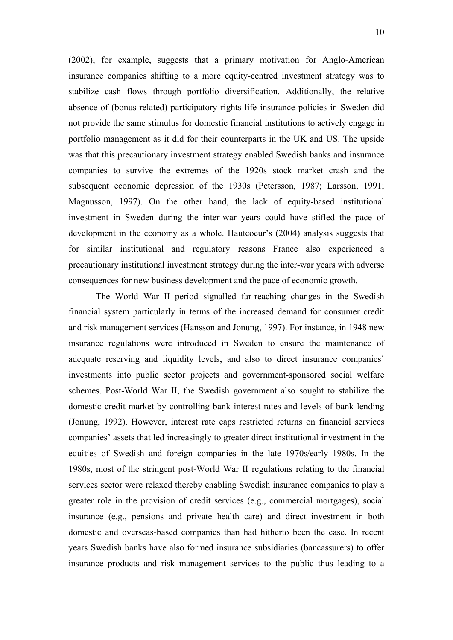(2002), for example, suggests that a primary motivation for Anglo-American insurance companies shifting to a more equity-centred investment strategy was to stabilize cash flows through portfolio diversification. Additionally, the relative absence of (bonus-related) participatory rights life insurance policies in Sweden did not provide the same stimulus for domestic financial institutions to actively engage in portfolio management as it did for their counterparts in the UK and US. The upside was that this precautionary investment strategy enabled Swedish banks and insurance companies to survive the extremes of the 1920s stock market crash and the subsequent economic depression of the 1930s (Petersson, 1987; Larsson, 1991; Magnusson, 1997). On the other hand, the lack of equity-based institutional investment in Sweden during the inter-war years could have stifled the pace of development in the economy as a whole. Hautcoeur's (2004) analysis suggests that for similar institutional and regulatory reasons France also experienced a precautionary institutional investment strategy during the inter-war years with adverse consequences for new business development and the pace of economic growth.

The World War II period signalled far-reaching changes in the Swedish financial system particularly in terms of the increased demand for consumer credit and risk management services (Hansson and Jonung, 1997). For instance, in 1948 new insurance regulations were introduced in Sweden to ensure the maintenance of adequate reserving and liquidity levels, and also to direct insurance companies' investments into public sector projects and government-sponsored social welfare schemes. Post-World War II, the Swedish government also sought to stabilize the domestic credit market by controlling bank interest rates and levels of bank lending (Jonung, 1992). However, interest rate caps restricted returns on financial services companies' assets that led increasingly to greater direct institutional investment in the equities of Swedish and foreign companies in the late 1970s/early 1980s. In the 1980s, most of the stringent post-World War II regulations relating to the financial services sector were relaxed thereby enabling Swedish insurance companies to play a greater role in the provision of credit services (e.g., commercial mortgages), social insurance (e.g., pensions and private health care) and direct investment in both domestic and overseas-based companies than had hitherto been the case. In recent years Swedish banks have also formed insurance subsidiaries (bancassurers) to offer insurance products and risk management services to the public thus leading to a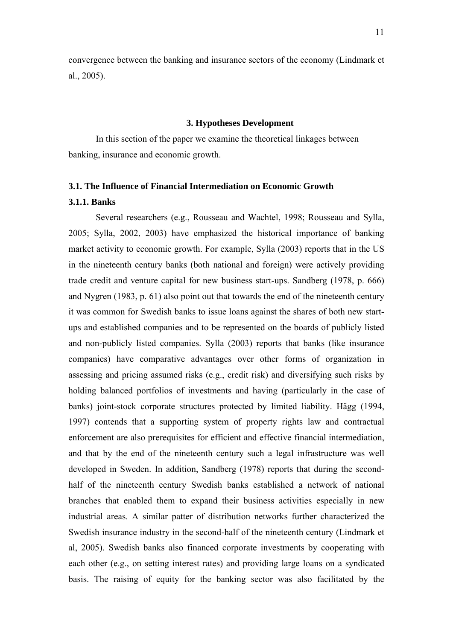convergence between the banking and insurance sectors of the economy (Lindmark et al., 2005).

#### **3. Hypotheses Development**

In this section of the paper we examine the theoretical linkages between banking, insurance and economic growth.

# **3.1. The Influence of Financial Intermediation on Economic Growth 3.1.1. Banks**

Several researchers (e.g., Rousseau and Wachtel, 1998; Rousseau and Sylla, 2005; Sylla, 2002, 2003) have emphasized the historical importance of banking market activity to economic growth. For example, Sylla (2003) reports that in the US in the nineteenth century banks (both national and foreign) were actively providing trade credit and venture capital for new business start-ups. Sandberg (1978, p. 666) and Nygren (1983, p. 61) also point out that towards the end of the nineteenth century it was common for Swedish banks to issue loans against the shares of both new startups and established companies and to be represented on the boards of publicly listed and non-publicly listed companies. Sylla (2003) reports that banks (like insurance companies) have comparative advantages over other forms of organization in assessing and pricing assumed risks (e.g., credit risk) and diversifying such risks by holding balanced portfolios of investments and having (particularly in the case of banks) joint-stock corporate structures protected by limited liability. Hägg (1994, 1997) contends that a supporting system of property rights law and contractual enforcement are also prerequisites for efficient and effective financial intermediation, and that by the end of the nineteenth century such a legal infrastructure was well developed in Sweden. In addition, Sandberg (1978) reports that during the secondhalf of the nineteenth century Swedish banks established a network of national branches that enabled them to expand their business activities especially in new industrial areas. A similar patter of distribution networks further characterized the Swedish insurance industry in the second-half of the nineteenth century (Lindmark et al, 2005). Swedish banks also financed corporate investments by cooperating with each other (e.g., on setting interest rates) and providing large loans on a syndicated basis. The raising of equity for the banking sector was also facilitated by the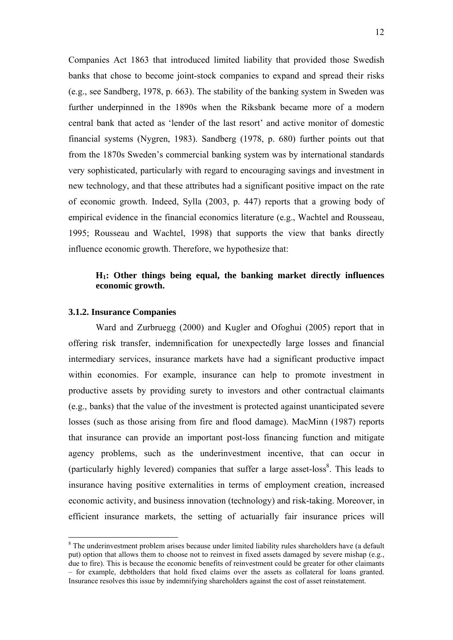Companies Act 1863 that introduced limited liability that provided those Swedish banks that chose to become joint-stock companies to expand and spread their risks (e.g., see Sandberg, 1978, p. 663). The stability of the banking system in Sweden was further underpinned in the 1890s when the Riksbank became more of a modern central bank that acted as 'lender of the last resort' and active monitor of domestic financial systems (Nygren, 1983). Sandberg (1978, p. 680) further points out that from the 1870s Sweden's commercial banking system was by international standards very sophisticated, particularly with regard to encouraging savings and investment in new technology, and that these attributes had a significant positive impact on the rate of economic growth. Indeed, Sylla (2003, p. 447) reports that a growing body of empirical evidence in the financial economics literature (e.g., Wachtel and Rousseau, 1995; Rousseau and Wachtel, 1998) that supports the view that banks directly influence economic growth. Therefore, we hypothesize that:

## **H1: Other things being equal, the banking market directly influences economic growth.**

## **3.1.2. Insurance Companies**

<u>.</u>

Ward and Zurbruegg (2000) and Kugler and Ofoghui (2005) report that in offering risk transfer, indemnification for unexpectedly large losses and financial intermediary services, insurance markets have had a significant productive impact within economies. For example, insurance can help to promote investment in productive assets by providing surety to investors and other contractual claimants (e.g., banks) that the value of the investment is protected against unanticipated severe losses (such as those arising from fire and flood damage). MacMinn (1987) reports that insurance can provide an important post-loss financing function and mitigate agency problems, such as the underinvestment incentive, that can occur in (particularly highly levered) companies that suffer a large asset-loss<sup>8</sup>. This leads to insurance having positive externalities in terms of employment creation, increased economic activity, and business innovation (technology) and risk-taking. Moreover, in efficient insurance markets, the setting of actuarially fair insurance prices will

<sup>&</sup>lt;sup>8</sup> The underinvestment problem arises because under limited liability rules shareholders have (a default put) option that allows them to choose not to reinvest in fixed assets damaged by severe mishap (e.g., due to fire). This is because the economic benefits of reinvestment could be greater for other claimants – for example, debtholders that hold fixed claims over the assets as collateral for loans granted. Insurance resolves this issue by indemnifying shareholders against the cost of asset reinstatement.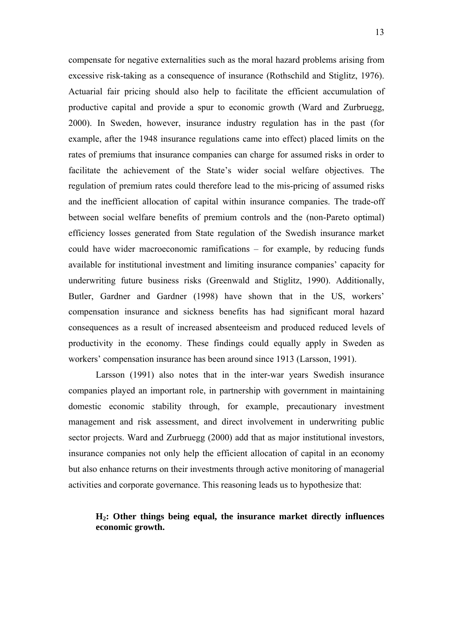compensate for negative externalities such as the moral hazard problems arising from excessive risk-taking as a consequence of insurance (Rothschild and Stiglitz, 1976). Actuarial fair pricing should also help to facilitate the efficient accumulation of productive capital and provide a spur to economic growth (Ward and Zurbruegg, 2000). In Sweden, however, insurance industry regulation has in the past (for example, after the 1948 insurance regulations came into effect) placed limits on the rates of premiums that insurance companies can charge for assumed risks in order to facilitate the achievement of the State's wider social welfare objectives. The regulation of premium rates could therefore lead to the mis-pricing of assumed risks and the inefficient allocation of capital within insurance companies. The trade-off between social welfare benefits of premium controls and the (non-Pareto optimal) efficiency losses generated from State regulation of the Swedish insurance market could have wider macroeconomic ramifications – for example, by reducing funds available for institutional investment and limiting insurance companies' capacity for underwriting future business risks (Greenwald and Stiglitz, 1990). Additionally, Butler, Gardner and Gardner (1998) have shown that in the US, workers' compensation insurance and sickness benefits has had significant moral hazard consequences as a result of increased absenteeism and produced reduced levels of productivity in the economy. These findings could equally apply in Sweden as workers' compensation insurance has been around since 1913 (Larsson, 1991).

Larsson (1991) also notes that in the inter-war years Swedish insurance companies played an important role, in partnership with government in maintaining domestic economic stability through, for example, precautionary investment management and risk assessment, and direct involvement in underwriting public sector projects. Ward and Zurbruegg (2000) add that as major institutional investors, insurance companies not only help the efficient allocation of capital in an economy but also enhance returns on their investments through active monitoring of managerial activities and corporate governance. This reasoning leads us to hypothesize that:

# **H2: Other things being equal, the insurance market directly influences economic growth.**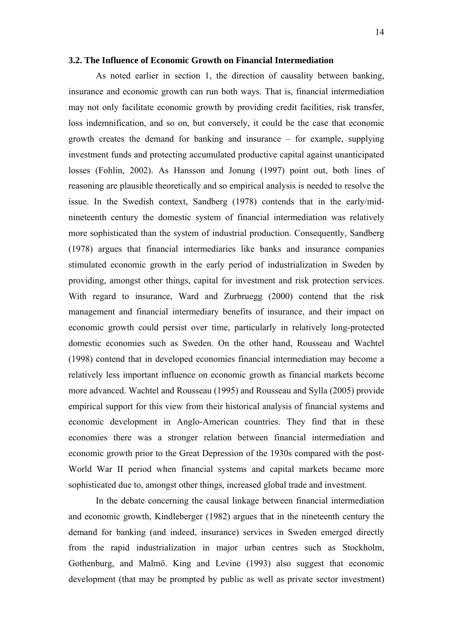#### **3.2. The Influence of Economic Growth on Financial Intermediation**

As noted earlier in section 1, the direction of causality between banking, insurance and economic growth can run both ways. That is, financial intermediation may not only facilitate economic growth by providing credit facilities, risk transfer, loss indemnification, and so on, but conversely, it could be the case that economic growth creates the demand for banking and insurance – for example, supplying investment funds and protecting accumulated productive capital against unanticipated losses (Fohlin, 2002). As Hansson and Jonung (1997) point out, both lines of reasoning are plausible theoretically and so empirical analysis is needed to resolve the issue. In the Swedish context, Sandberg (1978) contends that in the early/midnineteenth century the domestic system of financial intermediation was relatively more sophisticated than the system of industrial production. Consequently, Sandberg (1978) argues that financial intermediaries like banks and insurance companies stimulated economic growth in the early period of industrialization in Sweden by providing, amongst other things, capital for investment and risk protection services. With regard to insurance, Ward and Zurbruegg (2000) contend that the risk management and financial intermediary benefits of insurance, and their impact on economic growth could persist over time, particularly in relatively long-protected domestic economies such as Sweden. On the other hand, Rousseau and Wachtel (1998) contend that in developed economies financial intermediation may become a relatively less important influence on economic growth as financial markets become more advanced. Wachtel and Rousseau (1995) and Rousseau and Sylla (2005) provide empirical support for this view from their historical analysis of financial systems and economic development in Anglo-American countries. They find that in these economies there was a stronger relation between financial intermediation and economic growth prior to the Great Depression of the 1930s compared with the post-World War II period when financial systems and capital markets became more sophisticated due to, amongst other things, increased global trade and investment.

In the debate concerning the causal linkage between financial intermediation and economic growth, Kindleberger (1982) argues that in the nineteenth century the demand for banking (and indeed, insurance) services in Sweden emerged directly from the rapid industrialization in major urban centres such as Stockholm, Gothenburg, and Malmö. King and Levine (1993) also suggest that economic development (that may be prompted by public as well as private sector investment)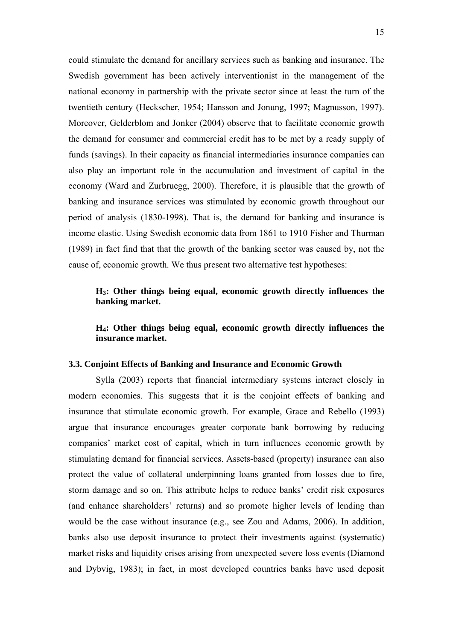could stimulate the demand for ancillary services such as banking and insurance. The Swedish government has been actively interventionist in the management of the national economy in partnership with the private sector since at least the turn of the twentieth century (Heckscher, 1954; Hansson and Jonung, 1997; Magnusson, 1997). Moreover, Gelderblom and Jonker (2004) observe that to facilitate economic growth the demand for consumer and commercial credit has to be met by a ready supply of funds (savings). In their capacity as financial intermediaries insurance companies can also play an important role in the accumulation and investment of capital in the economy (Ward and Zurbruegg, 2000). Therefore, it is plausible that the growth of banking and insurance services was stimulated by economic growth throughout our period of analysis (1830-1998). That is, the demand for banking and insurance is income elastic. Using Swedish economic data from 1861 to 1910 Fisher and Thurman (1989) in fact find that that the growth of the banking sector was caused by, not the cause of, economic growth. We thus present two alternative test hypotheses:

## **H3: Other things being equal, economic growth directly influences the banking market.**

**H4: Other things being equal, economic growth directly influences the insurance market.** 

#### **3.3. Conjoint Effects of Banking and Insurance and Economic Growth**

Sylla (2003) reports that financial intermediary systems interact closely in modern economies. This suggests that it is the conjoint effects of banking and insurance that stimulate economic growth. For example, Grace and Rebello (1993) argue that insurance encourages greater corporate bank borrowing by reducing companies' market cost of capital, which in turn influences economic growth by stimulating demand for financial services. Assets-based (property) insurance can also protect the value of collateral underpinning loans granted from losses due to fire, storm damage and so on. This attribute helps to reduce banks' credit risk exposures (and enhance shareholders' returns) and so promote higher levels of lending than would be the case without insurance (e.g., see Zou and Adams, 2006). In addition, banks also use deposit insurance to protect their investments against (systematic) market risks and liquidity crises arising from unexpected severe loss events (Diamond and Dybvig, 1983); in fact, in most developed countries banks have used deposit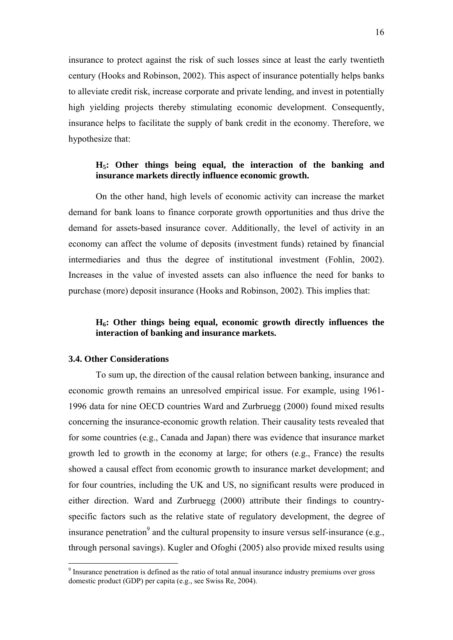insurance to protect against the risk of such losses since at least the early twentieth century (Hooks and Robinson, 2002). This aspect of insurance potentially helps banks to alleviate credit risk, increase corporate and private lending, and invest in potentially high yielding projects thereby stimulating economic development. Consequently, insurance helps to facilitate the supply of bank credit in the economy. Therefore, we hypothesize that:

# **H5: Other things being equal, the interaction of the banking and insurance markets directly influence economic growth.**

On the other hand, high levels of economic activity can increase the market demand for bank loans to finance corporate growth opportunities and thus drive the demand for assets-based insurance cover. Additionally, the level of activity in an economy can affect the volume of deposits (investment funds) retained by financial intermediaries and thus the degree of institutional investment (Fohlin, 2002). Increases in the value of invested assets can also influence the need for banks to purchase (more) deposit insurance (Hooks and Robinson, 2002). This implies that:

# **H6: Other things being equal, economic growth directly influences the interaction of banking and insurance markets.**

#### **3.4. Other Considerations**

<u>.</u>

To sum up, the direction of the causal relation between banking, insurance and economic growth remains an unresolved empirical issue. For example, using 1961- 1996 data for nine OECD countries Ward and Zurbruegg (2000) found mixed results concerning the insurance-economic growth relation. Their causality tests revealed that for some countries (e.g., Canada and Japan) there was evidence that insurance market growth led to growth in the economy at large; for others (e.g., France) the results showed a causal effect from economic growth to insurance market development; and for four countries, including the UK and US, no significant results were produced in either direction. Ward and Zurbruegg (2000) attribute their findings to countryspecific factors such as the relative state of regulatory development, the degree of insurance penetration<sup>9</sup> and the cultural propensity to insure versus self-insurance (e.g., through personal savings). Kugler and Ofoghi (2005) also provide mixed results using

<sup>&</sup>lt;sup>9</sup> Insurance penetration is defined as the ratio of total annual insurance industry premiums over gross domestic product (GDP) per capita (e.g., see Swiss Re, 2004).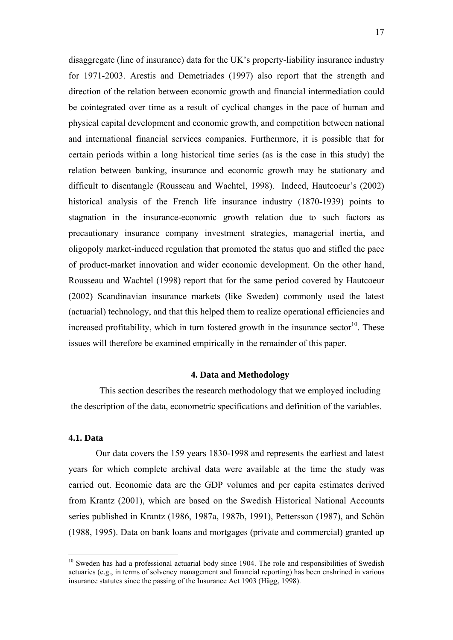disaggregate (line of insurance) data for the UK's property-liability insurance industry for 1971-2003. Arestis and Demetriades (1997) also report that the strength and direction of the relation between economic growth and financial intermediation could be cointegrated over time as a result of cyclical changes in the pace of human and physical capital development and economic growth, and competition between national and international financial services companies. Furthermore, it is possible that for certain periods within a long historical time series (as is the case in this study) the relation between banking, insurance and economic growth may be stationary and difficult to disentangle (Rousseau and Wachtel, 1998). Indeed, Hautcoeur's (2002) historical analysis of the French life insurance industry (1870-1939) points to stagnation in the insurance-economic growth relation due to such factors as precautionary insurance company investment strategies, managerial inertia, and oligopoly market-induced regulation that promoted the status quo and stifled the pace of product-market innovation and wider economic development. On the other hand, Rousseau and Wachtel (1998) report that for the same period covered by Hautcoeur (2002) Scandinavian insurance markets (like Sweden) commonly used the latest (actuarial) technology, and that this helped them to realize operational efficiencies and increased profitability, which in turn fostered growth in the insurance sector<sup>10</sup>. These issues will therefore be examined empirically in the remainder of this paper.

#### **4. Data and Methodology**

This section describes the research methodology that we employed including the description of the data, econometric specifications and definition of the variables.

### **4.1. Data**

1

Our data covers the 159 years 1830-1998 and represents the earliest and latest years for which complete archival data were available at the time the study was carried out. Economic data are the GDP volumes and per capita estimates derived from Krantz (2001), which are based on the Swedish Historical National Accounts series published in Krantz (1986, 1987a, 1987b, 1991), Pettersson (1987), and Schön (1988, 1995). Data on bank loans and mortgages (private and commercial) granted up

 $10$  Sweden has had a professional actuarial body since 1904. The role and responsibilities of Swedish actuaries (e.g., in terms of solvency management and financial reporting) has been enshrined in various insurance statutes since the passing of the Insurance Act 1903 (Hägg, 1998).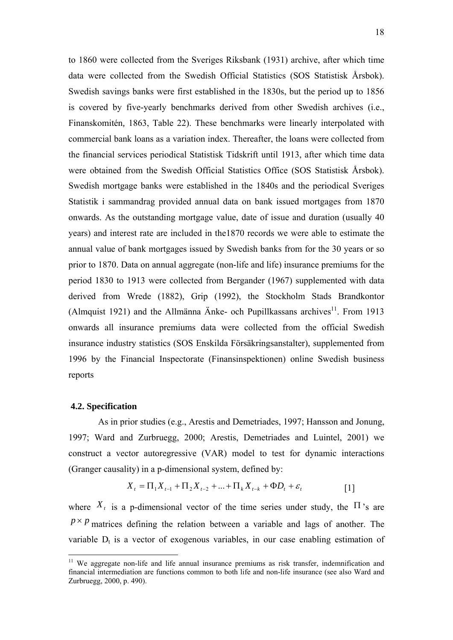to 1860 were collected from the Sveriges Riksbank (1931) archive, after which time data were collected from the Swedish Official Statistics (SOS Statistisk Årsbok). Swedish savings banks were first established in the 1830s, but the period up to 1856 is covered by five-yearly benchmarks derived from other Swedish archives (i.e., Finanskomitén*,* 1863, Table 22). These benchmarks were linearly interpolated with commercial bank loans as a variation index. Thereafter, the loans were collected from the financial services periodical Statistisk Tidskrift until 1913, after which time data were obtained from the Swedish Official Statistics Office (SOS Statistisk Årsbok). Swedish mortgage banks were established in the 1840s and the periodical Sveriges Statistik i sammandrag provided annual data on bank issued mortgages from 1870 onwards. As the outstanding mortgage value, date of issue and duration (usually 40 years) and interest rate are included in the1870 records we were able to estimate the annual value of bank mortgages issued by Swedish banks from for the 30 years or so prior to 1870. Data on annual aggregate (non-life and life) insurance premiums for the period 1830 to 1913 were collected from Bergander (1967) supplemented with data derived from Wrede (1882), Grip (1992), the Stockholm Stads Brandkontor (Almquist 1921) and the Allmänna Änke- och Pupillkassans archives<sup>11</sup>. From 1913 onwards all insurance premiums data were collected from the official Swedish insurance industry statistics (SOS Enskilda Försäkringsanstalter), supplemented from 1996 by the Financial Inspectorate (Finansinspektionen) online Swedish business reports

### **4.2. Specification**

1

 As in prior studies (e.g., Arestis and Demetriades, 1997; Hansson and Jonung, 1997; Ward and Zurbruegg, 2000; Arestis, Demetriades and Luintel, 2001) we construct a vector autoregressive (VAR) model to test for dynamic interactions (Granger causality) in a p-dimensional system, defined by:

$$
X_{t} = \Pi_{1} X_{t-1} + \Pi_{2} X_{t-2} + \dots + \Pi_{k} X_{t-k} + \Phi D_{t} + \varepsilon_{t}
$$
 [1]

where  $X_t$  is a p-dimensional vector of the time series under study, the  $\Pi$ 's are  $p \times p$  matrices defining the relation between a variable and lags of another. The variable  $D_t$  is a vector of exogenous variables, in our case enabling estimation of

 $11$  We aggregate non-life and life annual insurance premiums as risk transfer, indemnification and financial intermediation are functions common to both life and non-life insurance (see also Ward and Zurbruegg, 2000, p. 490).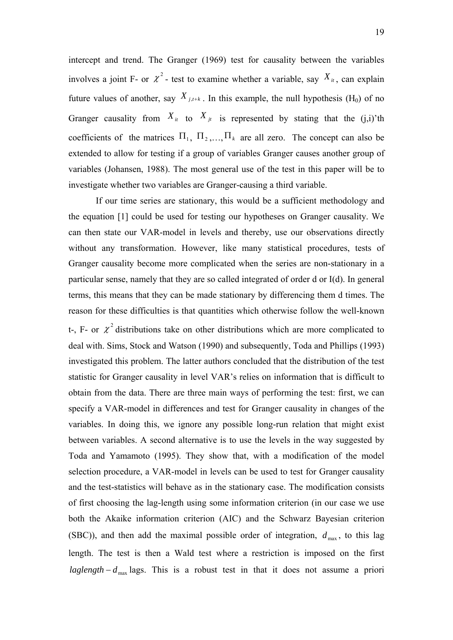intercept and trend. The Granger (1969) test for causality between the variables involves a joint F- or  $\chi^2$ - test to examine whether a variable, say  $X_{it}$ , can explain future values of another, say  $X_{j,t+k}$ . In this example, the null hypothesis (H<sub>0</sub>) of no Granger causality from  $X_{it}$  to  $X_{jt}$  is represented by stating that the (j,i)'th coefficients of the matrices  $\Pi_1$ ,  $\Pi_2$ ,  $\Pi_k$  are all zero. The concept can also be extended to allow for testing if a group of variables Granger causes another group of variables (Johansen, 1988). The most general use of the test in this paper will be to investigate whether two variables are Granger-causing a third variable.

If our time series are stationary, this would be a sufficient methodology and the equation [1] could be used for testing our hypotheses on Granger causality. We can then state our VAR-model in levels and thereby, use our observations directly without any transformation. However, like many statistical procedures, tests of Granger causality become more complicated when the series are non-stationary in a particular sense, namely that they are so called integrated of order d or I(d). In general terms, this means that they can be made stationary by differencing them d times. The reason for these difficulties is that quantities which otherwise follow the well-known t-, F- or  $\chi^2$  distributions take on other distributions which are more complicated to deal with. Sims, Stock and Watson (1990) and subsequently, Toda and Phillips (1993) investigated this problem. The latter authors concluded that the distribution of the test statistic for Granger causality in level VAR's relies on information that is difficult to obtain from the data. There are three main ways of performing the test: first, we can specify a VAR-model in differences and test for Granger causality in changes of the variables. In doing this, we ignore any possible long-run relation that might exist between variables. A second alternative is to use the levels in the way suggested by Toda and Yamamoto (1995). They show that, with a modification of the model selection procedure, a VAR-model in levels can be used to test for Granger causality and the test-statistics will behave as in the stationary case. The modification consists of first choosing the lag-length using some information criterion (in our case we use both the Akaike information criterion (AIC) and the Schwarz Bayesian criterion (SBC)), and then add the maximal possible order of integration,  $d_{\text{max}}$ , to this lag length. The test is then a Wald test where a restriction is imposed on the first  $laglength - d_{\text{max}}$  *lags.* This is a robust test in that it does not assume a priori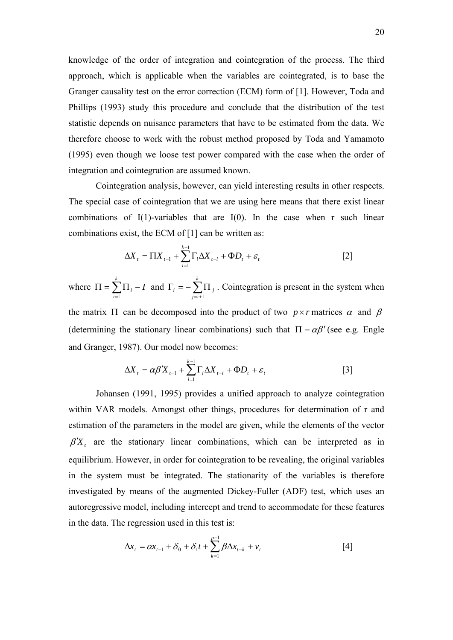knowledge of the order of integration and cointegration of the process. The third approach, which is applicable when the variables are cointegrated, is to base the Granger causality test on the error correction (ECM) form of [1]. However, Toda and Phillips (1993) study this procedure and conclude that the distribution of the test statistic depends on nuisance parameters that have to be estimated from the data. We therefore choose to work with the robust method proposed by Toda and Yamamoto (1995) even though we loose test power compared with the case when the order of integration and cointegration are assumed known.

Cointegration analysis, however, can yield interesting results in other respects. The special case of cointegration that we are using here means that there exist linear combinations of  $I(1)$ -variables that are  $I(0)$ . In the case when r such linear combinations exist, the ECM of [1] can be written as:

$$
\Delta X_t = \Pi X_{t-1} + \sum_{i=1}^{k-1} \Gamma_i \Delta X_{t-i} + \Phi D_t + \varepsilon_t
$$
 [2]

where  $\Pi = \sum_{i=1}^{\infty} \Pi_i$  – *k i*  $\sum_{i}$   $-I$  $\prod_i -I$  and  $\Gamma_i = -\sum_{j=i+1}^{k} \prod_i$ *j i*  $i = -\sum \mathbf{1}$ 1 . Cointegration is present in the system when

the matrix  $\Pi$  can be decomposed into the product of two  $p \times r$  matrices  $\alpha$  and  $\beta$ (determining the stationary linear combinations) such that  $\Pi = \alpha \beta'$  (see e.g. Engle and Granger, 1987). Our model now becomes:

$$
\Delta X_t = \alpha \beta' X_{t-1} + \sum_{i=1}^{k-1} \Gamma_i \Delta X_{t-i} + \Phi D_t + \varepsilon_t
$$
 [3]

Johansen (1991, 1995) provides a unified approach to analyze cointegration within VAR models. Amongst other things, procedures for determination of r and estimation of the parameters in the model are given, while the elements of the vector  $\beta'X_t$  are the stationary linear combinations, which can be interpreted as in equilibrium. However, in order for cointegration to be revealing, the original variables in the system must be integrated. The stationarity of the variables is therefore investigated by means of the augmented Dickey-Fuller (ADF) test, which uses an autoregressive model, including intercept and trend to accommodate for these features in the data. The regression used in this test is:

$$
\Delta x_{t} = \alpha x_{t-1} + \delta_0 + \delta_1 t + \sum_{k=1}^{p-1} \beta \Delta x_{t-k} + v_t
$$
 [4]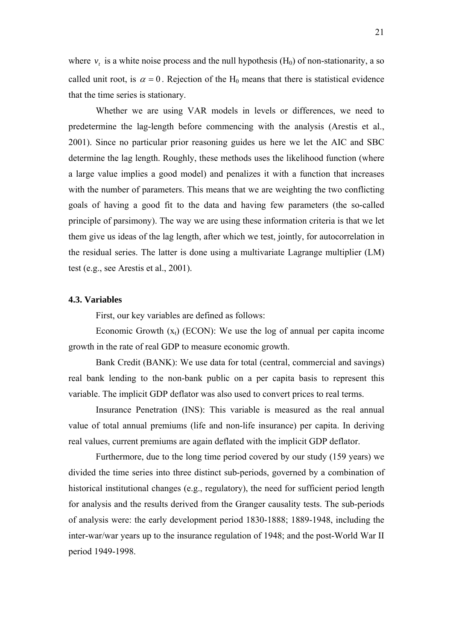where  $v_t$  is a white noise process and the null hypothesis ( $H_0$ ) of non-stationarity, a so called unit root, is  $\alpha = 0$ . Rejection of the H<sub>0</sub> means that there is statistical evidence that the time series is stationary.

Whether we are using VAR models in levels or differences, we need to predetermine the lag-length before commencing with the analysis (Arestis et al., 2001). Since no particular prior reasoning guides us here we let the AIC and SBC determine the lag length. Roughly, these methods uses the likelihood function (where a large value implies a good model) and penalizes it with a function that increases with the number of parameters. This means that we are weighting the two conflicting goals of having a good fit to the data and having few parameters (the so-called principle of parsimony). The way we are using these information criteria is that we let them give us ideas of the lag length, after which we test, jointly, for autocorrelation in the residual series. The latter is done using a multivariate Lagrange multiplier (LM) test (e.g., see Arestis et al., 2001).

#### **4.3. Variables**

First, our key variables are defined as follows:

Economic Growth  $(x_t)$  (ECON): We use the log of annual per capita income growth in the rate of real GDP to measure economic growth.

Bank Credit (BANK): We use data for total (central, commercial and savings) real bank lending to the non-bank public on a per capita basis to represent this variable. The implicit GDP deflator was also used to convert prices to real terms.

Insurance Penetration (INS): This variable is measured as the real annual value of total annual premiums (life and non-life insurance) per capita. In deriving real values, current premiums are again deflated with the implicit GDP deflator.

Furthermore, due to the long time period covered by our study (159 years) we divided the time series into three distinct sub-periods, governed by a combination of historical institutional changes (e.g., regulatory), the need for sufficient period length for analysis and the results derived from the Granger causality tests. The sub-periods of analysis were: the early development period 1830-1888; 1889-1948, including the inter-war/war years up to the insurance regulation of 1948; and the post-World War II period 1949-1998.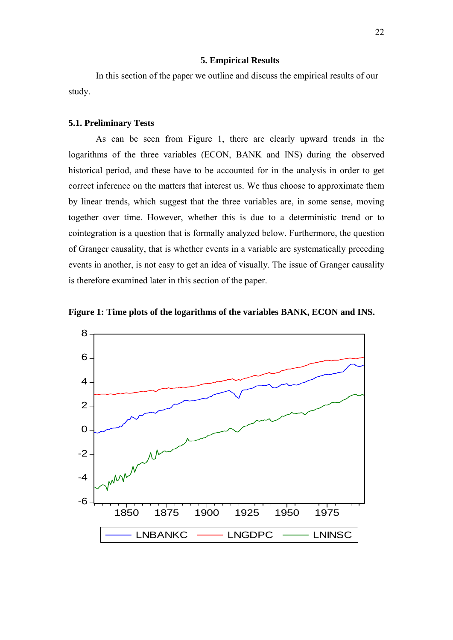#### **5. Empirical Results**

In this section of the paper we outline and discuss the empirical results of our study.

## **5.1. Preliminary Tests**

As can be seen from Figure 1, there are clearly upward trends in the logarithms of the three variables (ECON, BANK and INS) during the observed historical period, and these have to be accounted for in the analysis in order to get correct inference on the matters that interest us. We thus choose to approximate them by linear trends, which suggest that the three variables are, in some sense, moving together over time. However, whether this is due to a deterministic trend or to cointegration is a question that is formally analyzed below. Furthermore, the question of Granger causality, that is whether events in a variable are systematically preceding events in another, is not easy to get an idea of visually. The issue of Granger causality is therefore examined later in this section of the paper.



**Figure 1: Time plots of the logarithms of the variables BANK, ECON and INS.**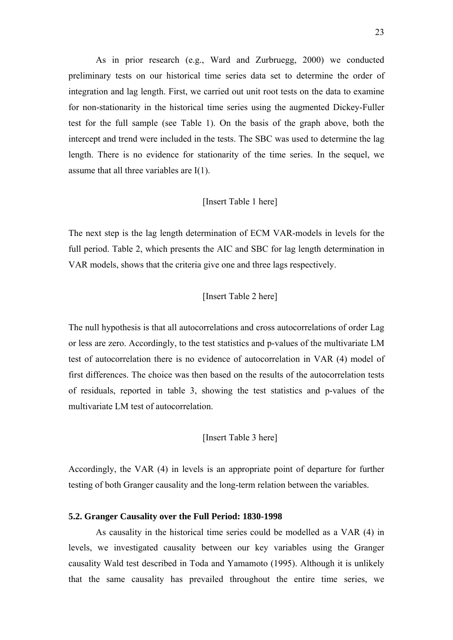As in prior research (e.g., Ward and Zurbruegg, 2000) we conducted preliminary tests on our historical time series data set to determine the order of integration and lag length. First, we carried out unit root tests on the data to examine for non-stationarity in the historical time series using the augmented Dickey-Fuller test for the full sample (see Table 1). On the basis of the graph above, both the intercept and trend were included in the tests. The SBC was used to determine the lag length. There is no evidence for stationarity of the time series. In the sequel, we assume that all three variables are I(1).

## [Insert Table 1 here]

The next step is the lag length determination of ECM VAR-models in levels for the full period. Table 2, which presents the AIC and SBC for lag length determination in VAR models, shows that the criteria give one and three lags respectively.

## [Insert Table 2 here]

The null hypothesis is that all autocorrelations and cross autocorrelations of order Lag or less are zero. Accordingly, to the test statistics and p-values of the multivariate LM test of autocorrelation there is no evidence of autocorrelation in VAR (4) model of first differences. The choice was then based on the results of the autocorrelation tests of residuals, reported in table 3, showing the test statistics and p-values of the multivariate LM test of autocorrelation.

[Insert Table 3 here]

Accordingly, the VAR (4) in levels is an appropriate point of departure for further testing of both Granger causality and the long-term relation between the variables.

#### **5.2. Granger Causality over the Full Period: 1830-1998**

As causality in the historical time series could be modelled as a VAR (4) in levels, we investigated causality between our key variables using the Granger causality Wald test described in Toda and Yamamoto (1995). Although it is unlikely that the same causality has prevailed throughout the entire time series, we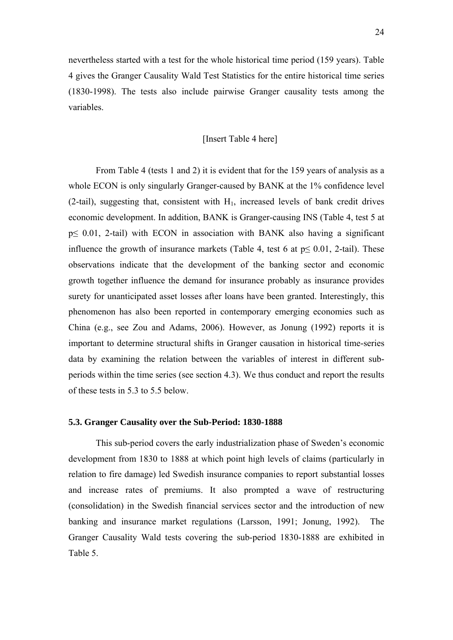nevertheless started with a test for the whole historical time period (159 years). Table 4 gives the Granger Causality Wald Test Statistics for the entire historical time series (1830-1998). The tests also include pairwise Granger causality tests among the variables.

## [Insert Table 4 here]

From Table 4 (tests 1 and 2) it is evident that for the 159 years of analysis as a whole ECON is only singularly Granger-caused by BANK at the 1% confidence level  $(2-tail)$ , suggesting that, consistent with  $H<sub>1</sub>$ , increased levels of bank credit drives economic development. In addition, BANK is Granger-causing INS (Table 4, test 5 at p≤ 0.01, 2-tail) with ECON in association with BANK also having a significant influence the growth of insurance markets (Table 4, test 6 at  $p \le 0.01$ , 2-tail). These observations indicate that the development of the banking sector and economic growth together influence the demand for insurance probably as insurance provides surety for unanticipated asset losses after loans have been granted. Interestingly, this phenomenon has also been reported in contemporary emerging economies such as China (e.g., see Zou and Adams, 2006). However, as Jonung (1992) reports it is important to determine structural shifts in Granger causation in historical time-series data by examining the relation between the variables of interest in different subperiods within the time series (see section 4.3). We thus conduct and report the results of these tests in 5.3 to 5.5 below.

#### **5.3. Granger Causality over the Sub-Period: 1830-1888**

This sub-period covers the early industrialization phase of Sweden's economic development from 1830 to 1888 at which point high levels of claims (particularly in relation to fire damage) led Swedish insurance companies to report substantial losses and increase rates of premiums. It also prompted a wave of restructuring (consolidation) in the Swedish financial services sector and the introduction of new banking and insurance market regulations (Larsson, 1991; Jonung, 1992). The Granger Causality Wald tests covering the sub-period 1830-1888 are exhibited in Table 5.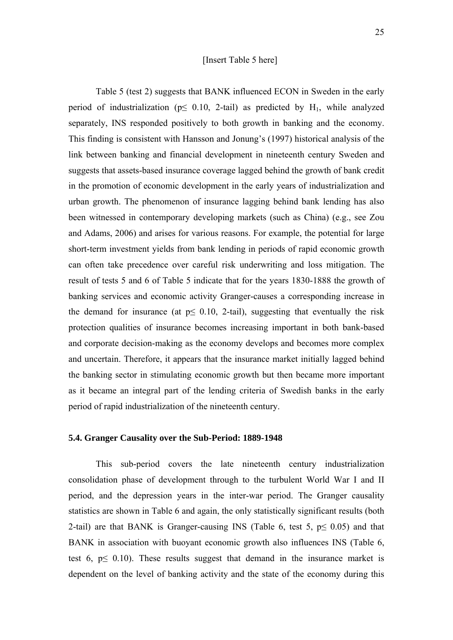### [Insert Table 5 here]

Table 5 (test 2) suggests that BANK influenced ECON in Sweden in the early period of industrialization ( $p \leq 0.10$ , 2-tail) as predicted by H<sub>1</sub>, while analyzed separately, INS responded positively to both growth in banking and the economy. This finding is consistent with Hansson and Jonung's (1997) historical analysis of the link between banking and financial development in nineteenth century Sweden and suggests that assets-based insurance coverage lagged behind the growth of bank credit in the promotion of economic development in the early years of industrialization and urban growth. The phenomenon of insurance lagging behind bank lending has also been witnessed in contemporary developing markets (such as China) (e.g., see Zou and Adams, 2006) and arises for various reasons. For example, the potential for large short-term investment yields from bank lending in periods of rapid economic growth can often take precedence over careful risk underwriting and loss mitigation. The result of tests 5 and 6 of Table 5 indicate that for the years 1830-1888 the growth of banking services and economic activity Granger-causes a corresponding increase in the demand for insurance (at  $p \leq 0.10$ , 2-tail), suggesting that eventually the risk protection qualities of insurance becomes increasing important in both bank-based and corporate decision-making as the economy develops and becomes more complex and uncertain. Therefore, it appears that the insurance market initially lagged behind the banking sector in stimulating economic growth but then became more important as it became an integral part of the lending criteria of Swedish banks in the early period of rapid industrialization of the nineteenth century.

#### **5.4. Granger Causality over the Sub-Period: 1889-1948**

This sub-period covers the late nineteenth century industrialization consolidation phase of development through to the turbulent World War I and II period, and the depression years in the inter-war period. The Granger causality statistics are shown in Table 6 and again, the only statistically significant results (both 2-tail) are that BANK is Granger-causing INS (Table 6, test 5,  $p \le 0.05$ ) and that BANK in association with buoyant economic growth also influences INS (Table 6, test 6,  $p \leq 0.10$ ). These results suggest that demand in the insurance market is dependent on the level of banking activity and the state of the economy during this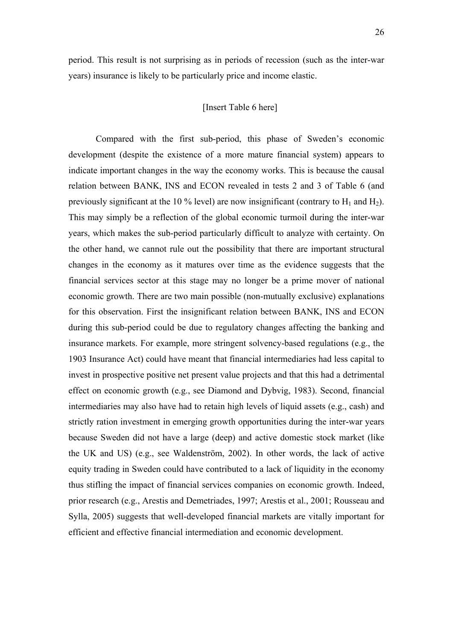## [Insert Table 6 here]

Compared with the first sub-period, this phase of Sweden's economic development (despite the existence of a more mature financial system) appears to indicate important changes in the way the economy works. This is because the causal relation between BANK, INS and ECON revealed in tests 2 and 3 of Table 6 (and previously significant at the 10 % level) are now insignificant (contrary to  $H_1$  and  $H_2$ ). This may simply be a reflection of the global economic turmoil during the inter-war years, which makes the sub-period particularly difficult to analyze with certainty. On the other hand, we cannot rule out the possibility that there are important structural changes in the economy as it matures over time as the evidence suggests that the financial services sector at this stage may no longer be a prime mover of national economic growth. There are two main possible (non-mutually exclusive) explanations for this observation. First the insignificant relation between BANK, INS and ECON during this sub-period could be due to regulatory changes affecting the banking and insurance markets. For example, more stringent solvency-based regulations (e.g., the 1903 Insurance Act) could have meant that financial intermediaries had less capital to invest in prospective positive net present value projects and that this had a detrimental effect on economic growth (e.g., see Diamond and Dybvig, 1983). Second, financial intermediaries may also have had to retain high levels of liquid assets (e.g., cash) and strictly ration investment in emerging growth opportunities during the inter-war years because Sweden did not have a large (deep) and active domestic stock market (like the UK and US) (e.g., see Waldenström, 2002). In other words, the lack of active equity trading in Sweden could have contributed to a lack of liquidity in the economy thus stifling the impact of financial services companies on economic growth. Indeed, prior research (e.g., Arestis and Demetriades, 1997; Arestis et al., 2001; Rousseau and Sylla, 2005) suggests that well-developed financial markets are vitally important for efficient and effective financial intermediation and economic development.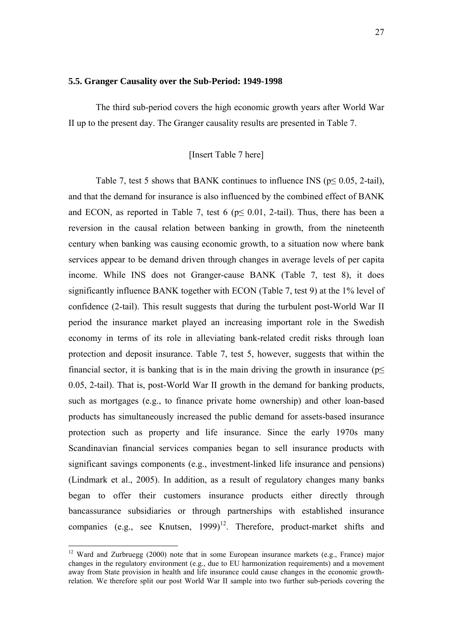#### **5.5. Granger Causality over the Sub-Period: 1949-1998**

The third sub-period covers the high economic growth years after World War II up to the present day. The Granger causality results are presented in Table 7.

## [Insert Table 7 here]

Table 7, test 5 shows that BANK continues to influence INS ( $p \le 0.05$ , 2-tail), and that the demand for insurance is also influenced by the combined effect of BANK and ECON, as reported in Table 7, test 6 ( $p \le 0.01$ , 2-tail). Thus, there has been a reversion in the causal relation between banking in growth, from the nineteenth century when banking was causing economic growth, to a situation now where bank services appear to be demand driven through changes in average levels of per capita income. While INS does not Granger-cause BANK (Table 7, test 8), it does significantly influence BANK together with ECON (Table 7, test 9) at the 1% level of confidence (2-tail). This result suggests that during the turbulent post-World War II period the insurance market played an increasing important role in the Swedish economy in terms of its role in alleviating bank-related credit risks through loan protection and deposit insurance. Table 7, test 5, however, suggests that within the financial sector, it is banking that is in the main driving the growth in insurance ( $p \leq$ 0.05, 2-tail). That is, post-World War II growth in the demand for banking products, such as mortgages (e.g., to finance private home ownership) and other loan-based products has simultaneously increased the public demand for assets-based insurance protection such as property and life insurance. Since the early 1970s many Scandinavian financial services companies began to sell insurance products with significant savings components (e.g., investment-linked life insurance and pensions) (Lindmark et al., 2005). In addition, as a result of regulatory changes many banks began to offer their customers insurance products either directly through bancassurance subsidiaries or through partnerships with established insurance companies (e.g., see Knutsen,  $1999$ )<sup>12</sup>. Therefore, product-market shifts and

1

<sup>&</sup>lt;sup>12</sup> Ward and Zurbruegg (2000) note that in some European insurance markets (e.g., France) major changes in the regulatory environment (e.g., due to EU harmonization requirements) and a movement away from State provision in health and life insurance could cause changes in the economic growthrelation. We therefore split our post World War II sample into two further sub-periods covering the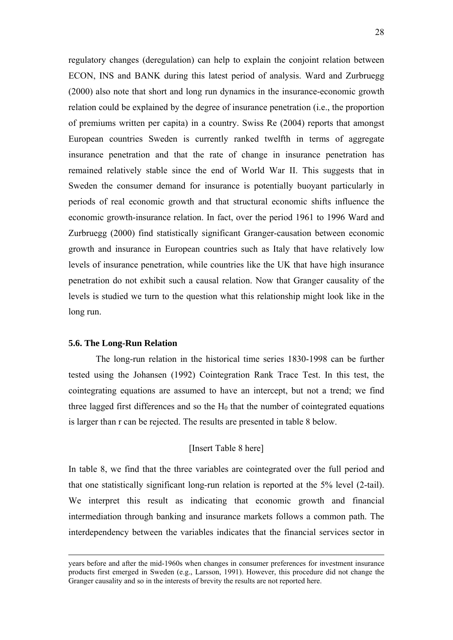regulatory changes (deregulation) can help to explain the conjoint relation between ECON, INS and BANK during this latest period of analysis. Ward and Zurbruegg (2000) also note that short and long run dynamics in the insurance-economic growth relation could be explained by the degree of insurance penetration (i.e., the proportion of premiums written per capita) in a country. Swiss Re (2004) reports that amongst European countries Sweden is currently ranked twelfth in terms of aggregate insurance penetration and that the rate of change in insurance penetration has remained relatively stable since the end of World War II. This suggests that in Sweden the consumer demand for insurance is potentially buoyant particularly in periods of real economic growth and that structural economic shifts influence the economic growth-insurance relation. In fact, over the period 1961 to 1996 Ward and Zurbruegg (2000) find statistically significant Granger-causation between economic growth and insurance in European countries such as Italy that have relatively low levels of insurance penetration, while countries like the UK that have high insurance penetration do not exhibit such a causal relation. Now that Granger causality of the levels is studied we turn to the question what this relationship might look like in the long run.

#### **5.6. The Long-Run Relation**

The long-run relation in the historical time series 1830-1998 can be further tested using the Johansen (1992) Cointegration Rank Trace Test. In this test, the cointegrating equations are assumed to have an intercept, but not a trend; we find three lagged first differences and so the  $H_0$  that the number of cointegrated equations is larger than r can be rejected. The results are presented in table 8 below.

## [Insert Table 8 here]

In table 8, we find that the three variables are cointegrated over the full period and that one statistically significant long-run relation is reported at the 5% level (2-tail). We interpret this result as indicating that economic growth and financial intermediation through banking and insurance markets follows a common path. The interdependency between the variables indicates that the financial services sector in

years before and after the mid-1960s when changes in consumer preferences for investment insurance products first emerged in Sweden (e.g., Larsson, 1991). However, this procedure did not change the Granger causality and so in the interests of brevity the results are not reported here.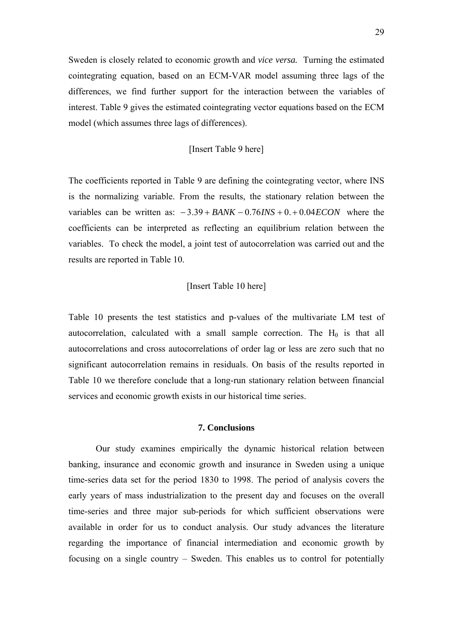Sweden is closely related to economic growth and *vice versa.* Turning the estimated cointegrating equation, based on an ECM-VAR model assuming three lags of the differences, we find further support for the interaction between the variables of interest. Table 9 gives the estimated cointegrating vector equations based on the ECM model (which assumes three lags of differences).

## [Insert Table 9 here]

The coefficients reported in Table 9 are defining the cointegrating vector, where INS is the normalizing variable. From the results, the stationary relation between the variables can be written as: − 3.39 + *BANK* − 0.76*INS* + 0. + 0.04*ECON* where the coefficients can be interpreted as reflecting an equilibrium relation between the variables. To check the model, a joint test of autocorrelation was carried out and the results are reported in Table 10.

## [Insert Table 10 here]

Table 10 presents the test statistics and p-values of the multivariate LM test of autocorrelation, calculated with a small sample correction. The  $H_0$  is that all autocorrelations and cross autocorrelations of order lag or less are zero such that no significant autocorrelation remains in residuals. On basis of the results reported in Table 10 we therefore conclude that a long-run stationary relation between financial services and economic growth exists in our historical time series.

## **7. Conclusions**

Our study examines empirically the dynamic historical relation between banking, insurance and economic growth and insurance in Sweden using a unique time-series data set for the period 1830 to 1998. The period of analysis covers the early years of mass industrialization to the present day and focuses on the overall time-series and three major sub-periods for which sufficient observations were available in order for us to conduct analysis. Our study advances the literature regarding the importance of financial intermediation and economic growth by focusing on a single country – Sweden. This enables us to control for potentially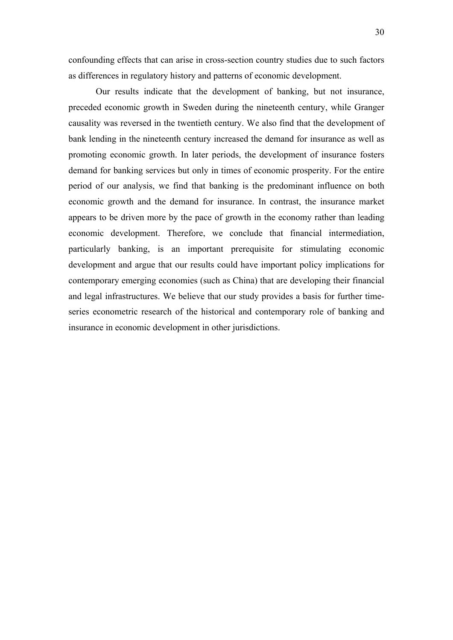confounding effects that can arise in cross-section country studies due to such factors as differences in regulatory history and patterns of economic development.

Our results indicate that the development of banking, but not insurance, preceded economic growth in Sweden during the nineteenth century, while Granger causality was reversed in the twentieth century. We also find that the development of bank lending in the nineteenth century increased the demand for insurance as well as promoting economic growth. In later periods, the development of insurance fosters demand for banking services but only in times of economic prosperity. For the entire period of our analysis, we find that banking is the predominant influence on both economic growth and the demand for insurance. In contrast, the insurance market appears to be driven more by the pace of growth in the economy rather than leading economic development. Therefore, we conclude that financial intermediation, particularly banking, is an important prerequisite for stimulating economic development and argue that our results could have important policy implications for contemporary emerging economies (such as China) that are developing their financial and legal infrastructures. We believe that our study provides a basis for further timeseries econometric research of the historical and contemporary role of banking and insurance in economic development in other jurisdictions.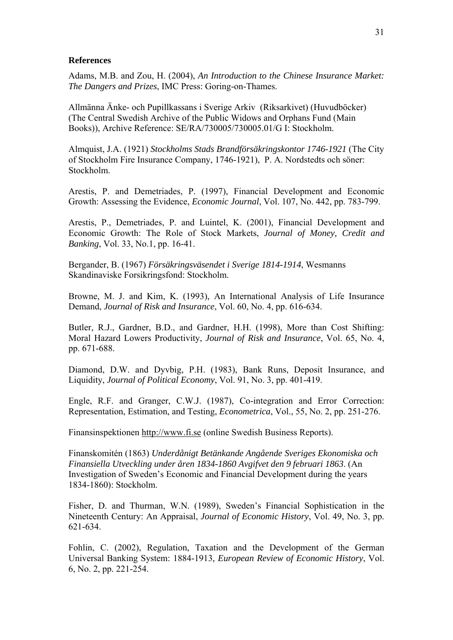#### **References**

Adams, M.B. and Zou, H. (2004), *An Introduction to the Chinese Insurance Market: The Dangers and Prizes*, IMC Press: Goring-on-Thames.

Allmänna Änke- och Pupillkassans i Sverige Arkiv (Riksarkivet) (Huvudböcker) (The Central Swedish Archive of the Public Widows and Orphans Fund (Main Books)), Archive Reference: SE/RA/730005/730005.01/G I: Stockholm.

Almquist, J.A. (1921) *Stockholms Stads Brandförsäkringskontor 1746-1921* (The City of Stockholm Fire Insurance Company, 1746-1921), P. A. Nordstedts och söner: Stockholm.

Arestis, P. and Demetriades, P. (1997), Financial Development and Economic Growth: Assessing the Evidence, *Economic Journal*, Vol. 107, No. 442, pp. 783-799.

Arestis, P., Demetriades, P. and Luintel, K. (2001), Financial Development and Economic Growth: The Role of Stock Markets, *Journal of Money, Credit and Banking*, Vol. 33, No.1, pp. 16-41.

Bergander, B. (1967) *Försäkringsväsendet i Sverige 1814-1914*, Wesmanns Skandinaviske Forsikringsfond: Stockholm.

Browne, M. J. and Kim, K. (1993), An International Analysis of Life Insurance Demand, *Journal of Risk and Insurance*, Vol. 60, No. 4, pp. 616-634.

Butler, R.J., Gardner, B.D., and Gardner, H.H. (1998), More than Cost Shifting: Moral Hazard Lowers Productivity, *Journal of Risk and Insurance*, Vol. 65, No. 4, pp. 671-688.

Diamond, D.W. and Dyvbig, P.H. (1983), Bank Runs, Deposit Insurance, and Liquidity, *Journal of Political Economy*, Vol. 91, No. 3, pp. 401-419.

Engle, R.F. and Granger, C.W.J. (1987), Co-integration and Error Correction: Representation, Estimation, and Testing, *Econometrica*, Vol., 55, No. 2, pp. 251-276.

Finansinspektionen http://www.fi.se (online Swedish Business Reports).

Finanskomitén (1863) *Underdånigt Betänkande Angående Sveriges Ekonomiska och Finansiella Utveckling under åren 1834-1860 Avgifvet den 9 februari 1863*. (An Investigation of Sweden's Economic and Financial Development during the years 1834-1860): Stockholm.

Fisher, D. and Thurman, W.N. (1989), Sweden's Financial Sophistication in the Nineteenth Century: An Appraisal, *Journal of Economic History*, Vol. 49, No. 3, pp. 621-634.

Fohlin, C. (2002), Regulation, Taxation and the Development of the German Universal Banking System: 1884-1913*, European Review of Economic History*, Vol. 6, No. 2, pp. 221-254.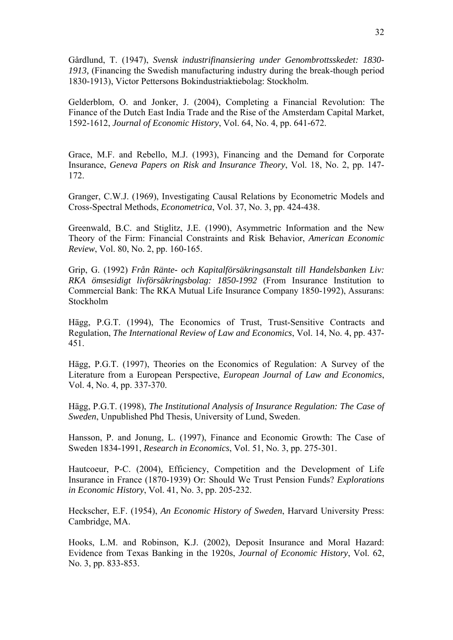Gårdlund, T. (1947), *Svensk industrifinansiering under Genombrottsskedet: 1830- 1913,* (Financing the Swedish manufacturing industry during the break-though period 1830-1913), Victor Pettersons Bokindustriaktiebolag: Stockholm.

Gelderblom, O. and Jonker, J. (2004), Completing a Financial Revolution: The Finance of the Dutch East India Trade and the Rise of the Amsterdam Capital Market, 1592-1612, *Journal of Economic History*, Vol. 64, No. 4, pp. 641-672.

Grace, M.F. and Rebello, M.J. (1993), Financing and the Demand for Corporate Insurance, *Geneva Papers on Risk and Insurance Theory*, Vol. 18, No. 2, pp. 147- 172.

Granger, C.W.J. (1969), Investigating Causal Relations by Econometric Models and Cross-Spectral Methods, *Econometrica*, Vol. 37, No. 3, pp. 424-438.

Greenwald, B.C. and Stiglitz, J.E. (1990), Asymmetric Information and the New Theory of the Firm: Financial Constraints and Risk Behavior, *American Economic Review*, Vol. 80, No. 2, pp. 160-165.

Grip, G. (1992) *Från Ränte- och Kapitalförsäkringsanstalt till Handelsbanken Liv: RKA ömsesidigt livförsäkringsbolag: 1850-1992* (From Insurance Institution to Commercial Bank: The RKA Mutual Life Insurance Company 1850-1992), Assurans: Stockholm

Hägg, P.G.T. (1994), The Economics of Trust, Trust-Sensitive Contracts and Regulation, *The International Review of Law and Economics*, Vol. 14, No. 4, pp. 437- 451.

Hägg, P.G.T. (1997), Theories on the Economics of Regulation: A Survey of the Literature from a European Perspective, *European Journal of Law and Economics*, Vol. 4, No. 4, pp. 337-370.

Hägg, P.G.T. (1998), *The Institutional Analysis of Insurance Regulation: The Case of Sweden*, Unpublished Phd Thesis, University of Lund, Sweden.

Hansson, P. and Jonung, L. (1997), Finance and Economic Growth: The Case of Sweden 1834-1991, *Research in Economics*, Vol. 51, No. 3, pp. 275-301.

Hautcoeur, P-C. (2004), Efficiency, Competition and the Development of Life Insurance in France (1870-1939) Or: Should We Trust Pension Funds? *Explorations in Economic History*, Vol. 41, No. 3, pp. 205-232.

Heckscher, E.F. (1954), *An Economic History of Sweden*, Harvard University Press: Cambridge, MA.

Hooks, L.M. and Robinson, K.J. (2002), Deposit Insurance and Moral Hazard: Evidence from Texas Banking in the 1920s, *Journal of Economic History*, Vol. 62, No. 3, pp. 833-853.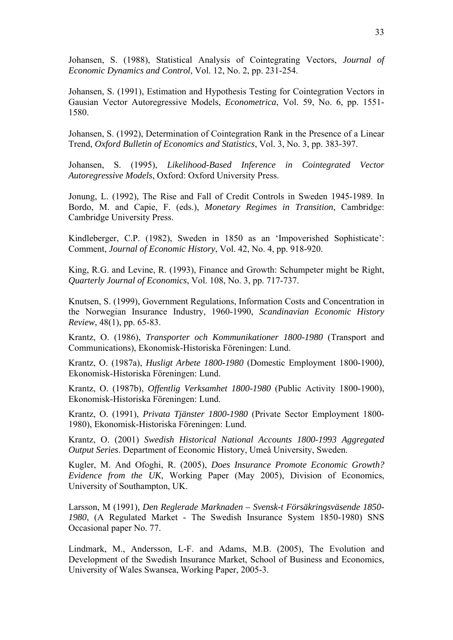Johansen, S. (1988), Statistical Analysis of Cointegrating Vectors, *Journal of Economic Dynamics and Control*, Vol. 12, No. 2, pp. 231-254.

Johansen, S. (1991), Estimation and Hypothesis Testing for Cointegration Vectors in Gausian Vector Autoregressive Models, *Econometrica*, Vol. 59, No. 6, pp. 1551- 1580.

Johansen, S. (1992), Determination of Cointegration Rank in the Presence of a Linear Trend, *Oxford Bulletin of Economics and Statistics*, Vol. 3, No. 3, pp. 383-397.

Johansen, S. (1995), *Likelihood-Based Inference in Cointegrated Vector Autoregressive Models*, Oxford: Oxford University Press.

Jonung, L. (1992), The Rise and Fall of Credit Controls in Sweden 1945-1989. In Bordo, M. and Capie, F. (eds.), *Monetary Regimes in Transition*, Cambridge: Cambridge University Press.

Kindleberger, C.P. (1982), Sweden in 1850 as an 'Impoverished Sophisticate': Comment, *Journal of Economic History*, Vol. 42, No. 4, pp. 918-920.

King, R.G. and Levine, R. (1993), Finance and Growth: Schumpeter might be Right, *Quarterly Journal of Economics*, Vol. 108, No. 3, pp. 717-737.

Knutsen, S. (1999), Government Regulations, Information Costs and Concentration in the Norwegian Insurance Industry, 1960-1990, *Scandinavian Economic History Review*, 48(1), pp. 65-83.

Krantz, O. (1986), *Transporter och Kommunikationer 1800-1980* (Transport and Communications), Ekonomisk-Historiska Föreningen: Lund.

Krantz, O. (1987a), *Husligt Arbete 1800-1980* (Domestic Employment 1800-1900*)*, Ekonomisk-Historiska Föreningen: Lund.

Krantz, O. (1987b), *Offentlig Verksamhet 1800-1980* (Public Activity 1800-1900), Ekonomisk-Historiska Föreningen: Lund.

Krantz, O. (1991), *Privata Tjänster 1800-1980* (Private Sector Employment 1800- 1980), Ekonomisk-Historiska Föreningen: Lund.

Krantz, O. (2001) *Swedish Historical National Accounts 1800-1993 Aggregated Output Series*. Department of Economic History, Umeå University, Sweden.

Kugler, M. And Ofoghi, R. (2005), *Does Insurance Promote Economic Growth? Evidence from the UK*, Working Paper (May 2005), Division of Economics, University of Southampton, UK.

Larsson, M (1991)*, Den Reglerade Marknaden – Svensk-t Försäkringsväsende 1850- 1980*, (A Regulated Market - The Swedish Insurance System 1850-1980) SNS Occasional paper No. 77.

Lindmark, M., Andersson, L-F. and Adams, M.B. (2005), The Evolution and Development of the Swedish Insurance Market, School of Business and Economics, University of Wales Swansea, Working Paper, 2005-3.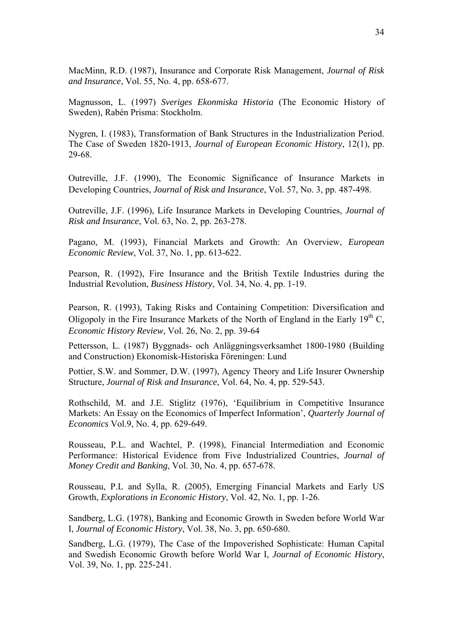MacMinn, R.D. (1987), Insurance and Corporate Risk Management, *Journal of Risk and Insurance*, Vol. 55, No. 4, pp. 658-677.

Magnusson, L. (1997) *Sveriges Ekonmiska Historia* (The Economic History of Sweden)*,* Rabén Prisma: Stockholm.

Nygren, I. (1983), Transformation of Bank Structures in the Industrialization Period. The Case of Sweden 1820-1913, *Journal of European Economic History*, 12(1), pp. 29-68.

Outreville, J.F. (1990), The Economic Significance of Insurance Markets in Developing Countries, *Journal of Risk and Insurance*, Vol. 57, No. 3, pp. 487-498.

Outreville, J.F. (1996), Life Insurance Markets in Developing Countries, *Journal of Risk and Insurance*, Vol. 63, No. 2, pp. 263-278.

Pagano, M. (1993), Financial Markets and Growth: An Overview, *European Economic Review*, Vol. 37, No. 1, pp. 613-622.

Pearson, R. (1992), Fire Insurance and the British Textile Industries during the Industrial Revolution, *Business History*, Vol. 34, No. 4, pp. 1-19.

Pearson, R. (1993), Taking Risks and Containing Competition: Diversification and Oligopoly in the Fire Insurance Markets of the North of England in the Early  $19<sup>th</sup>$  C, *Economic History Review*, Vol. 26, No. 2, pp. 39-64

Pettersson, L. (1987) Byggnads- och Anläggningsverksamhet 1800-1980 (Building and Construction) Ekonomisk-Historiska Föreningen: Lund

Pottier, S.W. and Sommer, D.W. (1997), Agency Theory and Life Insurer Ownership Structure, *Journal of Risk and Insurance*, Vol. 64, No. 4, pp. 529-543.

Rothschild, M. and J.E. Stiglitz (1976), 'Equilibrium in Competitive Insurance Markets: An Essay on the Economics of Imperfect Information', *Quarterly Journal of Economics* Vol.9, No. 4, pp. 629-649.

Rousseau, P.L. and Wachtel, P. (1998), Financial Intermediation and Economic Performance: Historical Evidence from Five Industrialized Countries, *Journal of Money Credit and Banking*, Vol. 30, No. 4, pp. 657-678.

Rousseau, P.L and Sylla, R. (2005), Emerging Financial Markets and Early US Growth, *Explorations in Economic History*, Vol. 42, No. 1, pp. 1-26.

Sandberg, L.G. (1978), Banking and Economic Growth in Sweden before World War I, *Journal of Economic History*, Vol. 38, No. 3, pp. 650-680.

Sandberg, L.G. (1979), The Case of the Impoverished Sophisticate: Human Capital and Swedish Economic Growth before World War I, *Journal of Economic History*, Vol. 39, No. 1, pp. 225-241.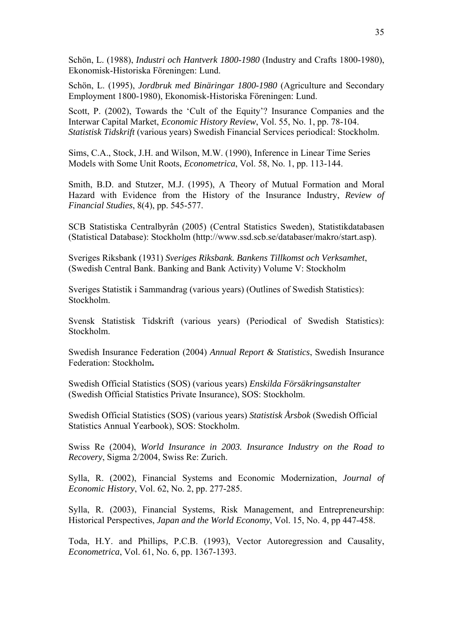Schön, L. (1988), *Industri och Hantverk 1800-1980* (Industry and Crafts 1800-1980), Ekonomisk-Historiska Föreningen: Lund.

Schön, L. (1995), *Jordbruk med Binäringar 1800-1980* (Agriculture and Secondary Employment 1800-1980), Ekonomisk-Historiska Föreningen: Lund.

Scott, P. (2002), Towards the 'Cult of the Equity'? Insurance Companies and the Interwar Capital Market, *Economic History Review*, Vol. 55, No. 1, pp. 78-104. *Statistisk Tidskrift* (various years) Swedish Financial Services periodical: Stockholm.

Sims, C.A., Stock, J.H. and Wilson, M.W. (1990), Inference in Linear Time Series Models with Some Unit Roots, *Econometrica*, Vol. 58, No. 1, pp. 113-144.

Smith, B.D. and Stutzer, M.J. (1995), A Theory of Mutual Formation and Moral Hazard with Evidence from the History of the Insurance Industry, *Review of Financial Studies*, 8(4), pp. 545-577.

SCB Statistiska Centralbyrån (2005) (Central Statistics Sweden), Statistikdatabasen (Statistical Database): Stockholm (http://www.ssd.scb.se/databaser/makro/start.asp).

Sveriges Riksbank (1931) *Sveriges Riksbank. Bankens Tillkomst och Verksamhet*, (Swedish Central Bank. Banking and Bank Activity) Volume V: Stockholm

Sveriges Statistik i Sammandrag (various years) (Outlines of Swedish Statistics): Stockholm.

Svensk Statistisk Tidskrift (various years) (Periodical of Swedish Statistics): Stockholm.

Swedish Insurance Federation (2004) *Annual Report & Statistics*, Swedish Insurance Federation: Stockholm**.** 

Swedish Official Statistics (SOS) (various years) *Enskilda Försäkringsanstalter*  (Swedish Official Statistics Private Insurance), SOS: Stockholm.

Swedish Official Statistics (SOS) (various years) *Statistisk Årsbok* (Swedish Official Statistics Annual Yearbook), SOS: Stockholm.

Swiss Re (2004), *World Insurance in 2003. Insurance Industry on the Road to Recovery*, Sigma 2/2004, Swiss Re: Zurich.

Sylla, R. (2002), Financial Systems and Economic Modernization, *Journal of Economic History*, Vol. 62, No. 2, pp. 277-285.

Sylla, R. (2003), Financial Systems, Risk Management, and Entrepreneurship: Historical Perspectives, *Japan and the World Economy*, Vol. 15, No. 4, pp 447-458.

Toda, H.Y. and Phillips, P.C.B. (1993), Vector Autoregression and Causality, *Econometrica*, Vol. 61, No. 6, pp. 1367-1393.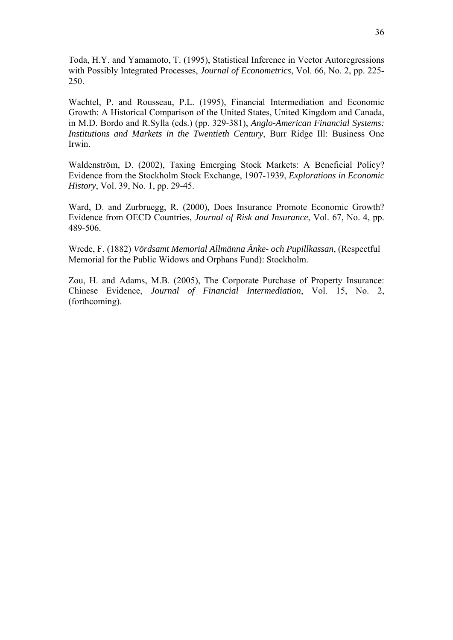Toda, H.Y. and Yamamoto, T. (1995), Statistical Inference in Vector Autoregressions with Possibly Integrated Processes, *Journal of Econometrics*, Vol. 66, No. 2, pp. 225- 250.

Wachtel, P. and Rousseau, P.L. (1995), Financial Intermediation and Economic Growth: A Historical Comparison of the United States, United Kingdom and Canada, in M.D. Bordo and R.Sylla (eds.) (pp. 329-381), *Anglo-American Financial Systems: Institutions and Markets in the Twentieth Century*, Burr Ridge Ill: Business One Irwin.

Waldenström, D. (2002), Taxing Emerging Stock Markets: A Beneficial Policy? Evidence from the Stockholm Stock Exchange, 1907-1939, *Explorations in Economic History*, Vol. 39, No. 1, pp. 29-45.

Ward, D. and Zurbruegg, R. (2000), Does Insurance Promote Economic Growth? Evidence from OECD Countries, *Journal of Risk and Insurance*, Vol. 67, No. 4, pp. 489-506.

Wrede, F. (1882) *Vördsamt Memorial Allmänna Änke- och Pupillkassan*, (Respectful Memorial for the Public Widows and Orphans Fund): Stockholm.

Zou, H. and Adams, M.B. (2005), The Corporate Purchase of Property Insurance: Chinese Evidence, *Journal of Financial Intermediation*, Vol. 15, No. 2, (forthcoming).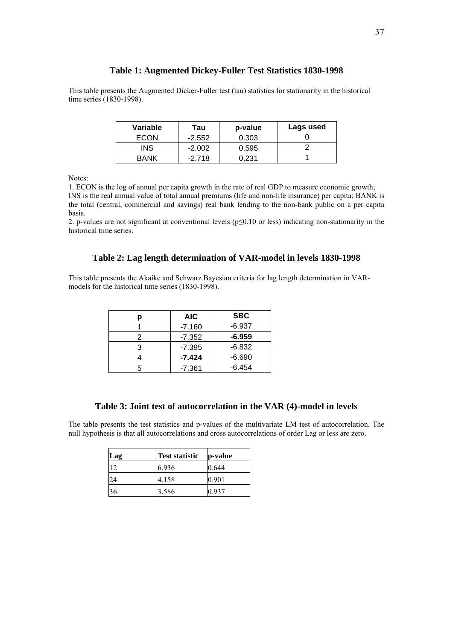#### **Table 1: Augmented Dickey-Fuller Test Statistics 1830-1998**

This table presents the Augmented Dicker-Fuller test (tau) statistics for stationarity in the historical time series (1830-1998).

| Variable    | Tau      | p-value | Lags used |
|-------------|----------|---------|-----------|
| ECON        | $-2.552$ | 0.303   |           |
| INS         | $-2.002$ | 0.595   |           |
| <b>BANK</b> | $-2.718$ | ი 231   |           |

Notes:

1. ECON is the log of annual per capita growth in the rate of real GDP to measure economic growth; INS is the real annual value of total annual premiums (life and non-life insurance) per capita; BANK is the total (central, commercial and savings) real bank lending to the non-bank public on a per capita basis.

2. p-values are not significant at conventional levels (p≤0.10 or less) indicating non-stationarity in the historical time series.

#### **Table 2: Lag length determination of VAR-model in levels 1830-1998**

This table presents the Akaike and Schwarz Bayesian criteria for lag length determination in VARmodels for the historical time series (1830-1998).

|   | <b>AIC</b> | <b>SBC</b> |
|---|------------|------------|
|   | $-7.160$   | $-6.937$   |
| 2 | $-7.352$   | $-6.959$   |
| 3 | $-7.395$   | $-6.832$   |
|   | $-7.424$   | $-6.690$   |
| 5 | -7.361     | $-6.454$   |

## **Table 3: Joint test of autocorrelation in the VAR (4)-model in levels**

The table presents the test statistics and p-values of the multivariate LM test of autocorrelation. The null hypothesis is that all autocorrelations and cross autocorrelations of order Lag or less are zero.

| Lag | <b>Test statistic</b> | p-value |
|-----|-----------------------|---------|
|     | 6.936                 | 0.644   |
| 24  | 4.158                 | 0.901   |
| 36  | 3.586                 | 0.937   |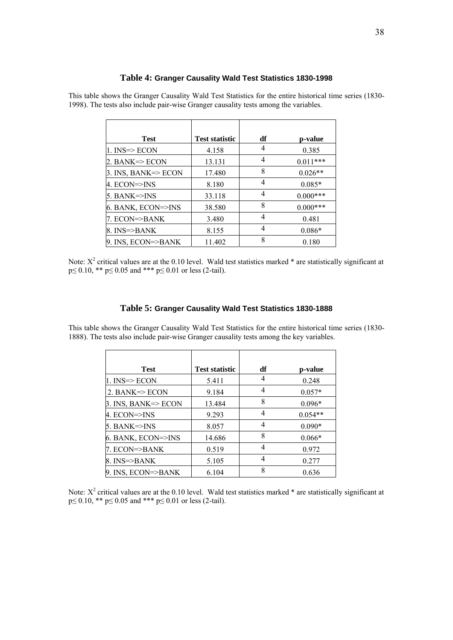#### **Table 4: Granger Causality Wald Test Statistics 1830-1998**

| Test                   | <b>Test statistic</b> | df | p-value    |
|------------------------|-----------------------|----|------------|
| 1. INS=> ECON          | 4.158                 | 4  | 0.385      |
| 2. BANK=> ECON         | 13.131                | 4  | $0.011***$ |
| 3. INS, BANK=> ECON    | 17.480                | 8  | $0.026**$  |
| 4. ECON=>INS           | 8.180                 | 4  | $0.085*$   |
| $5.$ BANK $\approx$ NS | 33.118                | 4  | $0.000***$ |
| 6. BANK, ECON=>INS     | 38.580                | 8  | $0.000***$ |
| 7. ECON=>BANK          | 3.480                 | 4  | 0.481      |
| 8. INS=>BANK           | 8.155                 | 4  | $0.086*$   |
| 9. INS, ECON=>BANK     | 11.402                | 8  | 0.180      |

This table shows the Granger Causality Wald Test Statistics for the entire historical time series (1830- 1998). The tests also include pair-wise Granger causality tests among the variables.

Note:  $X^2$  critical values are at the 0.10 level. Wald test statistics marked  $*$  are statistically significant at  $p \le 0.10$ , \*\*  $p \le 0.05$  and \*\*\*  $p \le 0.01$  or less (2-tail).

#### **Table 5: Granger Causality Wald Test Statistics 1830-1888**

This table shows the Granger Causality Wald Test Statistics for the entire historical time series (1830- 1888). The tests also include pair-wise Granger causality tests among the key variables.

| <b>Test</b>                | <b>Test statistic</b> | df | p-value   |
|----------------------------|-----------------------|----|-----------|
| $1.$ INS= $>$ ECON         | 5.411                 | 4  | 0.248     |
| 2. BANK $\Rightarrow$ ECON | 9.184                 | 4  | $0.057*$  |
| $3.$ INS, BANK= $>$ ECON   | 13.484                | 8  | $0.096*$  |
| 4. ECON=>INS               | 9.293                 | 4  | $0.054**$ |
| $5.$ BANK $\approx$ INS    | 8.057                 | 4  | $0.090*$  |
| 6. BANK, ECON=>INS         | 14.686                | 8  | $0.066*$  |
| 7. ECON=>BANK              | 0.519                 | 4  | 0.972     |
| $8.$ INS= $>$ BANK         | 5.105                 | 4  | 0.277     |
| 9. INS, ECON=>BANK         | 6.104                 | 8  | 0.636     |

Note:  $X^2$  critical values are at the 0.10 level. Wald test statistics marked  $*$  are statistically significant at p≤ 0.10, \*\* p≤ 0.05 and \*\*\* p≤ 0.01 or less (2-tail).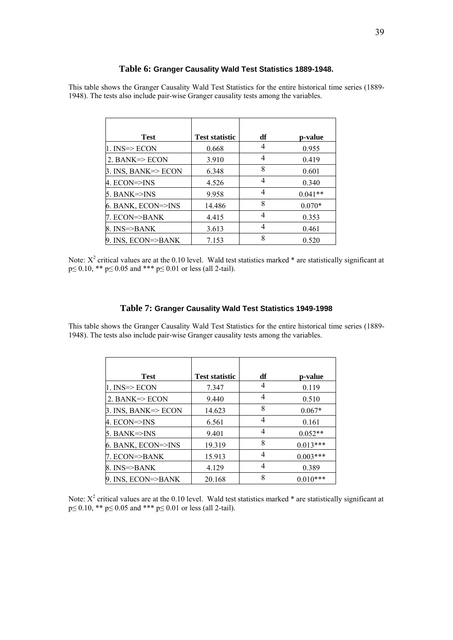#### **Table 6: Granger Causality Wald Test Statistics 1889-1948.**

This table shows the Granger Causality Wald Test Statistics for the entire historical time series (1889- 1948). The tests also include pair-wise Granger causality tests among the variables.

| <b>Test</b>                | <b>Test statistic</b> | df | p-value   |
|----------------------------|-----------------------|----|-----------|
| 1. INS=> ECON              | 0.668                 | 4  | 0.955     |
| 2. BANK $\Rightarrow$ ECON | 3.910                 | 4  | 0.419     |
| 3. INS, BANK=>ECON         | 6.348                 | 8  | 0.601     |
| 4. ECON=>INS               | 4.526                 | 4  | 0.340     |
| $5.$ BANK $\approx$ INS    | 9.958                 | 4  | $0.041**$ |
| 6. BANK, ECON=>INS         | 14.486                | 8  | $0.070*$  |
| 7. ECON=>BANK              | 4.415                 | 4  | 0.353     |
| $8.$ INS= $>$ BANK         | 3.613                 | 4  | 0.461     |
| 9. INS, ECON=>BANK         | 7.153                 | 8  | 0.520     |

Note:  $X^2$  critical values are at the 0.10 level. Wald test statistics marked  $*$  are statistically significant at  $p \le 0.10$ , \*\*  $p \le 0.05$  and \*\*\*  $p \le 0.01$  or less (all 2-tail).

#### **Table 7: Granger Causality Wald Test Statistics 1949-1998**

This table shows the Granger Causality Wald Test Statistics for the entire historical time series (1889- 1948). The tests also include pair-wise Granger causality tests among the variables.

| <b>Test</b>                | <b>Test statistic</b> | df | p-value    |
|----------------------------|-----------------------|----|------------|
| ll. INS=> ECON             | 7.347                 | 4  | 0.119      |
| 2. BANK $\Rightarrow$ ECON | 9.440                 | 4  | 0.510      |
| $\beta$ . INS, BANK=>ECON  | 14.623                | 8  | $0.067*$   |
| 4. ECON=>INS               | 6.561                 | 4  | 0.161      |
| $5.$ BANK $\approx$ INS    | 9.401                 | 4  | $0.052**$  |
| 6. BANK, ECON=>INS         | 19.319                | 8  | $0.013***$ |
| 7. ECON=>BANK              | 15.913                | 4  | $0.003***$ |
| $8.$ INS= $>$ BANK         | 4.129                 | 4  | 0.389      |
| 9. INS, ECON=>BANK         | 20.168                | 8  | $0.010***$ |

Note:  $X^2$  critical values are at the 0.10 level. Wald test statistics marked  $*$  are statistically significant at p≤ 0.10, \*\* p≤ 0.05 and \*\*\* p≤ 0.01 or less (all 2-tail).